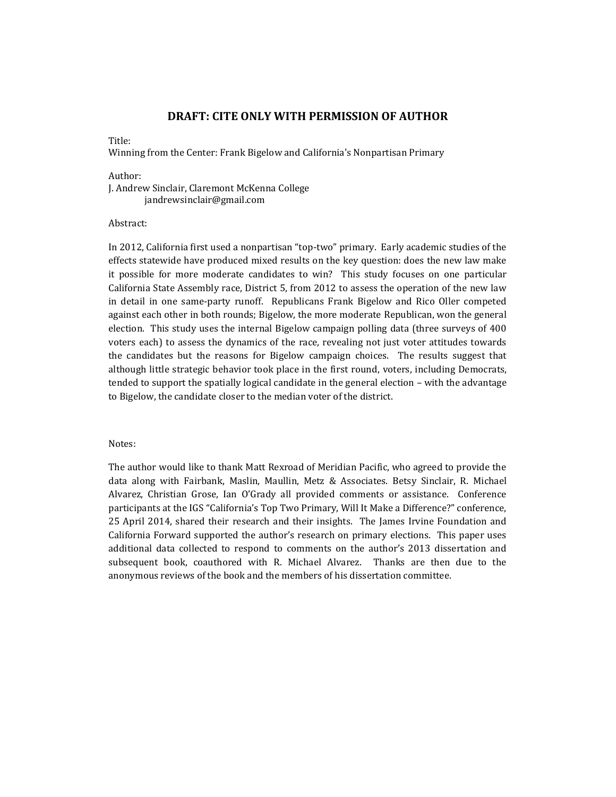## **DRAFT: CITE ONLY WITH PERMISSION OF AUTHOR**

#### Title:

Winning from the Center: Frank Bigelow and California's Nonpartisan Primary

#### Author:

J. Andrew Sinclair, Claremont McKenna College jandrewsinclair@gmail.com

### Abstract:

In 2012, California first used a nonpartisan "top-two" primary. Early academic studies of the effects statewide have produced mixed results on the key question: does the new law make it possible for more moderate candidates to win? This study focuses on one particular California State Assembly race, District 5, from 2012 to assess the operation of the new law in detail in one same-party runoff. Republicans Frank Bigelow and Rico Oller competed against each other in both rounds; Bigelow, the more moderate Republican, won the general election. This study uses the internal Bigelow campaign polling data (three surveys of 400 voters each) to assess the dynamics of the race, revealing not just voter attitudes towards the candidates but the reasons for Bigelow campaign choices. The results suggest that although little strategic behavior took place in the first round, voters, including Democrats, tended to support the spatially logical candidate in the general election – with the advantage to Bigelow, the candidate closer to the median voter of the district.

#### Notes:

The author would like to thank Matt Rexroad of Meridian Pacific, who agreed to provide the data along with Fairbank, Maslin, Maullin, Metz & Associates. Betsy Sinclair, R. Michael Alvarez, Christian Grose, Ian O'Grady all provided comments or assistance. Conference participants at the IGS "California's Top Two Primary, Will It Make a Difference?" conference, 25 April 2014, shared their research and their insights. The James Irvine Foundation and California Forward supported the author's research on primary elections. This paper uses additional data collected to respond to comments on the author's 2013 dissertation and subsequent book, coauthored with R. Michael Alvarez. Thanks are then due to the anonymous reviews of the book and the members of his dissertation committee.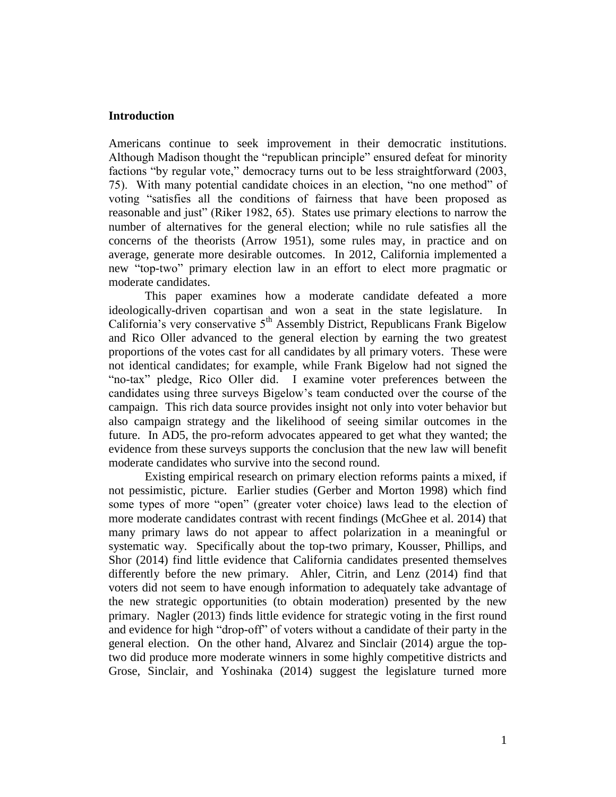## **Introduction**

Americans continue to seek improvement in their democratic institutions. Although Madison thought the "republican principle" ensured defeat for minority factions "by regular vote," democracy turns out to be less straightforward (2003, 75). With many potential candidate choices in an election, "no one method" of voting "satisfies all the conditions of fairness that have been proposed as reasonable and just" (Riker 1982, 65). States use primary elections to narrow the number of alternatives for the general election; while no rule satisfies all the concerns of the theorists (Arrow 1951), some rules may, in practice and on average, generate more desirable outcomes. In 2012, California implemented a new "top-two" primary election law in an effort to elect more pragmatic or moderate candidates.

This paper examines how a moderate candidate defeated a more ideologically-driven copartisan and won a seat in the state legislature. In California's very conservative  $5<sup>th</sup>$  Assembly District, Republicans Frank Bigelow and Rico Oller advanced to the general election by earning the two greatest proportions of the votes cast for all candidates by all primary voters. These were not identical candidates; for example, while Frank Bigelow had not signed the "no-tax" pledge, Rico Oller did. I examine voter preferences between the candidates using three surveys Bigelow's team conducted over the course of the campaign. This rich data source provides insight not only into voter behavior but also campaign strategy and the likelihood of seeing similar outcomes in the future. In AD5, the pro-reform advocates appeared to get what they wanted; the evidence from these surveys supports the conclusion that the new law will benefit moderate candidates who survive into the second round.

Existing empirical research on primary election reforms paints a mixed, if not pessimistic, picture. Earlier studies (Gerber and Morton 1998) which find some types of more "open" (greater voter choice) laws lead to the election of more moderate candidates contrast with recent findings (McGhee et al. 2014) that many primary laws do not appear to affect polarization in a meaningful or systematic way. Specifically about the top-two primary, Kousser, Phillips, and Shor (2014) find little evidence that California candidates presented themselves differently before the new primary. Ahler, Citrin, and Lenz (2014) find that voters did not seem to have enough information to adequately take advantage of the new strategic opportunities (to obtain moderation) presented by the new primary. Nagler (2013) finds little evidence for strategic voting in the first round and evidence for high "drop-off" of voters without a candidate of their party in the general election. On the other hand, Alvarez and Sinclair (2014) argue the toptwo did produce more moderate winners in some highly competitive districts and Grose, Sinclair, and Yoshinaka (2014) suggest the legislature turned more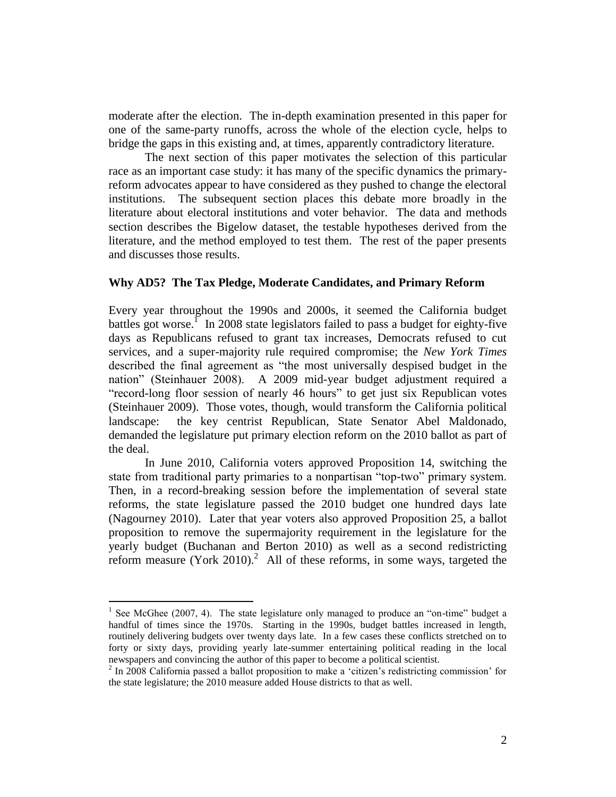moderate after the election. The in-depth examination presented in this paper for one of the same-party runoffs, across the whole of the election cycle, helps to bridge the gaps in this existing and, at times, apparently contradictory literature.

The next section of this paper motivates the selection of this particular race as an important case study: it has many of the specific dynamics the primaryreform advocates appear to have considered as they pushed to change the electoral institutions. The subsequent section places this debate more broadly in the literature about electoral institutions and voter behavior. The data and methods section describes the Bigelow dataset, the testable hypotheses derived from the literature, and the method employed to test them. The rest of the paper presents and discusses those results.

## **Why AD5? The Tax Pledge, Moderate Candidates, and Primary Reform**

Every year throughout the 1990s and 2000s, it seemed the California budget battles got worse.<sup>1</sup> In 2008 state legislators failed to pass a budget for eighty-five days as Republicans refused to grant tax increases, Democrats refused to cut services, and a super-majority rule required compromise; the *New York Times* described the final agreement as "the most universally despised budget in the nation" (Steinhauer 2008). A 2009 mid-year budget adjustment required a "record-long floor session of nearly 46 hours" to get just six Republican votes (Steinhauer 2009). Those votes, though, would transform the California political landscape: the key centrist Republican, State Senator Abel Maldonado, demanded the legislature put primary election reform on the 2010 ballot as part of the deal.

In June 2010, California voters approved Proposition 14, switching the state from traditional party primaries to a nonpartisan "top-two" primary system. Then, in a record-breaking session before the implementation of several state reforms, the state legislature passed the 2010 budget one hundred days late (Nagourney 2010). Later that year voters also approved Proposition 25, a ballot proposition to remove the supermajority requirement in the legislature for the yearly budget (Buchanan and Berton 2010) as well as a second redistricting reform measure (York 2010).<sup>2</sup> All of these reforms, in some ways, targeted the

<sup>&</sup>lt;sup>1</sup> See McGhee (2007, 4). The state legislature only managed to produce an "on-time" budget a handful of times since the 1970s. Starting in the 1990s, budget battles increased in length, routinely delivering budgets over twenty days late. In a few cases these conflicts stretched on to forty or sixty days, providing yearly late-summer entertaining political reading in the local newspapers and convincing the author of this paper to become a political scientist.

<sup>&</sup>lt;sup>2</sup> In 2008 California passed a ballot proposition to make a 'citizen's redistricting commission' for the state legislature; the 2010 measure added House districts to that as well.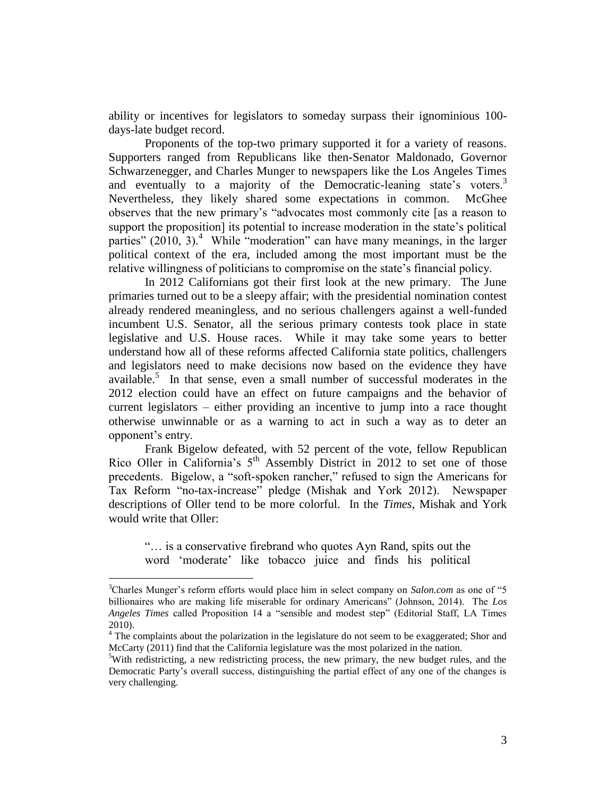ability or incentives for legislators to someday surpass their ignominious 100 days-late budget record.

Proponents of the top-two primary supported it for a variety of reasons. Supporters ranged from Republicans like then-Senator Maldonado, Governor Schwarzenegger, and Charles Munger to newspapers like the Los Angeles Times and eventually to a majority of the Democratic-leaning state's voters.<sup>3</sup> Nevertheless, they likely shared some expectations in common. McGhee observes that the new primary's "advocates most commonly cite [as a reason to support the proposition] its potential to increase moderation in the state's political parties"  $(2010, 3)$ .<sup>4</sup> While "moderation" can have many meanings, in the larger political context of the era, included among the most important must be the relative willingness of politicians to compromise on the state's financial policy.

In 2012 Californians got their first look at the new primary. The June primaries turned out to be a sleepy affair; with the presidential nomination contest already rendered meaningless, and no serious challengers against a well-funded incumbent U.S. Senator, all the serious primary contests took place in state legislative and U.S. House races. While it may take some years to better understand how all of these reforms affected California state politics, challengers and legislators need to make decisions now based on the evidence they have available.<sup>5</sup> In that sense, even a small number of successful moderates in the 2012 election could have an effect on future campaigns and the behavior of current legislators – either providing an incentive to jump into a race thought otherwise unwinnable or as a warning to act in such a way as to deter an opponent's entry.

Frank Bigelow defeated, with 52 percent of the vote, fellow Republican Rico Oller in California's  $5<sup>th</sup>$  Assembly District in 2012 to set one of those precedents. Bigelow, a "soft-spoken rancher," refused to sign the Americans for Tax Reform "no-tax-increase" pledge (Mishak and York 2012). Newspaper descriptions of Oller tend to be more colorful. In the *Times*, Mishak and York would write that Oller:

"… is a conservative firebrand who quotes Ayn Rand, spits out the word 'moderate' like tobacco juice and finds his political

<sup>3</sup>Charles Munger's reform efforts would place him in select company on *Salon.com* as one of "5 billionaires who are making life miserable for ordinary Americans" (Johnson, 2014). The *Los Angeles Times* called Proposition 14 a "sensible and modest step" (Editorial Staff, LA Times 2010).

<sup>&</sup>lt;sup>4</sup> The complaints about the polarization in the legislature do not seem to be exaggerated; Shor and McCarty (2011) find that the California legislature was the most polarized in the nation.

 $5$ With redistricting, a new redistricting process, the new primary, the new budget rules, and the Democratic Party's overall success, distinguishing the partial effect of any one of the changes is very challenging.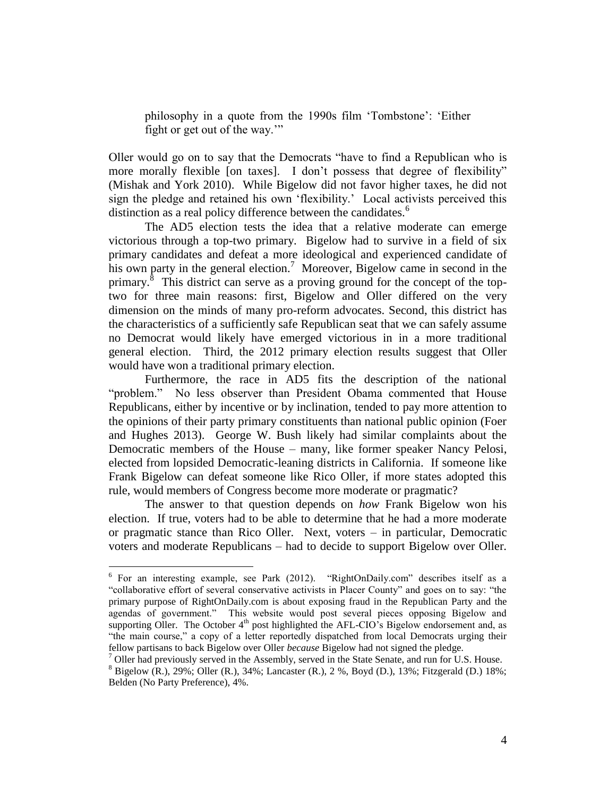philosophy in a quote from the 1990s film 'Tombstone': 'Either fight or get out of the way.'"

Oller would go on to say that the Democrats "have to find a Republican who is more morally flexible [on taxes]. I don't possess that degree of flexibility" (Mishak and York 2010). While Bigelow did not favor higher taxes, he did not sign the pledge and retained his own 'flexibility.' Local activists perceived this distinction as a real policy difference between the candidates.<sup>6</sup>

The AD5 election tests the idea that a relative moderate can emerge victorious through a top-two primary. Bigelow had to survive in a field of six primary candidates and defeat a more ideological and experienced candidate of his own party in the general election.<sup>7</sup> Moreover, Bigelow came in second in the primary.<sup>8</sup> This district can serve as a proving ground for the concept of the toptwo for three main reasons: first, Bigelow and Oller differed on the very dimension on the minds of many pro-reform advocates. Second, this district has the characteristics of a sufficiently safe Republican seat that we can safely assume no Democrat would likely have emerged victorious in in a more traditional general election. Third, the 2012 primary election results suggest that Oller would have won a traditional primary election.

Furthermore, the race in AD5 fits the description of the national "problem." No less observer than President Obama commented that House Republicans, either by incentive or by inclination, tended to pay more attention to the opinions of their party primary constituents than national public opinion (Foer and Hughes 2013). George W. Bush likely had similar complaints about the Democratic members of the House – many, like former speaker Nancy Pelosi, elected from lopsided Democratic-leaning districts in California. If someone like Frank Bigelow can defeat someone like Rico Oller, if more states adopted this rule, would members of Congress become more moderate or pragmatic?

The answer to that question depends on *how* Frank Bigelow won his election. If true, voters had to be able to determine that he had a more moderate or pragmatic stance than Rico Oller. Next, voters – in particular, Democratic voters and moderate Republicans – had to decide to support Bigelow over Oller.

<sup>&</sup>lt;sup>6</sup> For an interesting example, see Park (2012). "RightOnDaily.com" describes itself as a "collaborative effort of several conservative activists in Placer County" and goes on to say: "the primary purpose of RightOnDaily.com is about exposing fraud in the Republican Party and the agendas of government." This website would post several pieces opposing Bigelow and supporting Oller. The October  $4<sup>th</sup>$  post highlighted the AFL-CIO's Bigelow endorsement and, as "the main course," a copy of a letter reportedly dispatched from local Democrats urging their fellow partisans to back Bigelow over Oller *because* Bigelow had not signed the pledge.

 $7$  Oller had previously served in the Assembly, served in the State Senate, and run for U.S. House.

 $8$  Bigelow (R.), 29%; Oller (R.), 34%; Lancaster (R.), 2 %, Boyd (D.), 13%; Fitzgerald (D.) 18%; Belden (No Party Preference), 4%.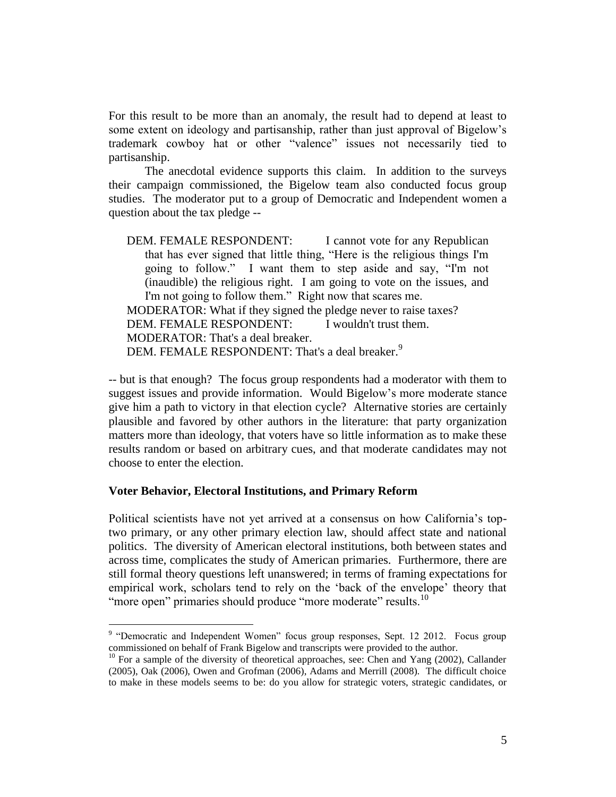For this result to be more than an anomaly, the result had to depend at least to some extent on ideology and partisanship, rather than just approval of Bigelow's trademark cowboy hat or other "valence" issues not necessarily tied to partisanship.

The anecdotal evidence supports this claim. In addition to the surveys their campaign commissioned, the Bigelow team also conducted focus group studies. The moderator put to a group of Democratic and Independent women a question about the tax pledge --

DEM. FEMALE RESPONDENT: I cannot vote for any Republican that has ever signed that little thing, "Here is the religious things I'm going to follow." I want them to step aside and say, "I'm not (inaudible) the religious right. I am going to vote on the issues, and I'm not going to follow them." Right now that scares me. MODERATOR: What if they signed the pledge never to raise taxes?<br>DEM. FEMALE RESPONDENT: I wouldn't trust them. DEM. FEMALE RESPONDENT: MODERATOR: That's a deal breaker. DEM. FEMALE RESPONDENT: That's a deal breaker.<sup>9</sup>

-- but is that enough? The focus group respondents had a moderator with them to suggest issues and provide information. Would Bigelow's more moderate stance give him a path to victory in that election cycle? Alternative stories are certainly plausible and favored by other authors in the literature: that party organization matters more than ideology, that voters have so little information as to make these results random or based on arbitrary cues, and that moderate candidates may not choose to enter the election.

### **Voter Behavior, Electoral Institutions, and Primary Reform**

 $\overline{a}$ 

Political scientists have not yet arrived at a consensus on how California's toptwo primary, or any other primary election law, should affect state and national politics. The diversity of American electoral institutions, both between states and across time, complicates the study of American primaries. Furthermore, there are still formal theory questions left unanswered; in terms of framing expectations for empirical work, scholars tend to rely on the 'back of the envelope' theory that "more open" primaries should produce "more moderate" results.<sup>10</sup>

<sup>&</sup>lt;sup>9</sup> "Democratic and Independent Women" focus group responses, Sept. 12 2012. Focus group commissioned on behalf of Frank Bigelow and transcripts were provided to the author.

<sup>&</sup>lt;sup>10</sup> For a sample of the diversity of theoretical approaches, see: Chen and Yang (2002), Callander (2005), Oak (2006), Owen and Grofman (2006), Adams and Merrill (2008). The difficult choice to make in these models seems to be: do you allow for strategic voters, strategic candidates, or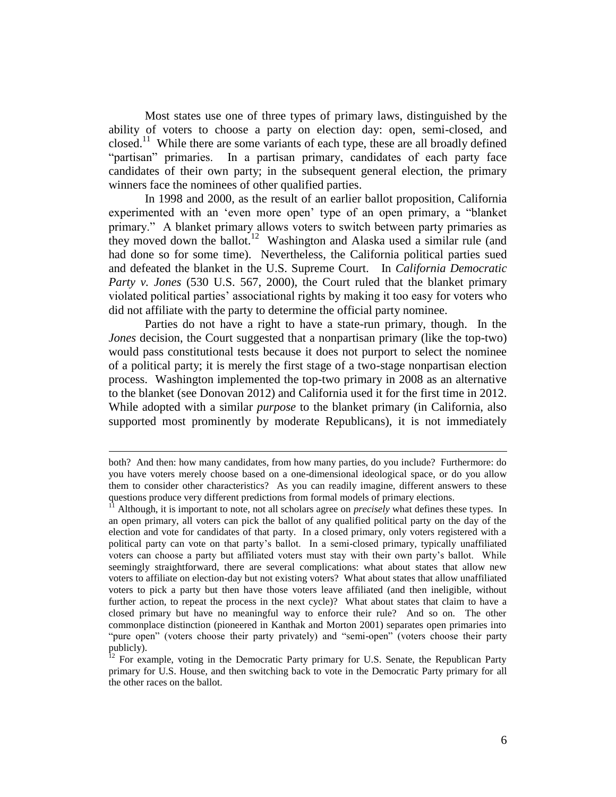Most states use one of three types of primary laws, distinguished by the ability of voters to choose a party on election day: open, semi-closed, and closed.<sup>11</sup> While there are some variants of each type, these are all broadly defined "partisan" primaries. In a partisan primary, candidates of each party face candidates of their own party; in the subsequent general election, the primary winners face the nominees of other qualified parties.

In 1998 and 2000, as the result of an earlier ballot proposition, California experimented with an 'even more open' type of an open primary, a "blanket primary." A blanket primary allows voters to switch between party primaries as they moved down the ballot.<sup>12</sup> Washington and Alaska used a similar rule (and had done so for some time). Nevertheless, the California political parties sued and defeated the blanket in the U.S. Supreme Court. In *California Democratic Party v. Jones* (530 U.S. 567, 2000), the Court ruled that the blanket primary violated political parties' associational rights by making it too easy for voters who did not affiliate with the party to determine the official party nominee.

Parties do not have a right to have a state-run primary, though. In the *Jones* decision, the Court suggested that a nonpartisan primary (like the top-two) would pass constitutional tests because it does not purport to select the nominee of a political party; it is merely the first stage of a two-stage nonpartisan election process. Washington implemented the top-two primary in 2008 as an alternative to the blanket (see Donovan 2012) and California used it for the first time in 2012. While adopted with a similar *purpose* to the blanket primary (in California, also supported most prominently by moderate Republicans), it is not immediately

both? And then: how many candidates, from how many parties, do you include? Furthermore: do you have voters merely choose based on a one-dimensional ideological space, or do you allow them to consider other characteristics? As you can readily imagine, different answers to these questions produce very different predictions from formal models of primary elections.

<sup>&</sup>lt;sup>11</sup> Although, it is important to note, not all scholars agree on *precisely* what defines these types. In an open primary, all voters can pick the ballot of any qualified political party on the day of the election and vote for candidates of that party. In a closed primary, only voters registered with a political party can vote on that party's ballot. In a semi-closed primary, typically unaffiliated voters can choose a party but affiliated voters must stay with their own party's ballot. While seemingly straightforward, there are several complications: what about states that allow new voters to affiliate on election-day but not existing voters? What about states that allow unaffiliated voters to pick a party but then have those voters leave affiliated (and then ineligible, without further action, to repeat the process in the next cycle)? What about states that claim to have a closed primary but have no meaningful way to enforce their rule? And so on. The other commonplace distinction (pioneered in Kanthak and Morton 2001) separates open primaries into "pure open" (voters choose their party privately) and "semi-open" (voters choose their party publicly).

 $12$  For example, voting in the Democratic Party primary for U.S. Senate, the Republican Party primary for U.S. House, and then switching back to vote in the Democratic Party primary for all the other races on the ballot.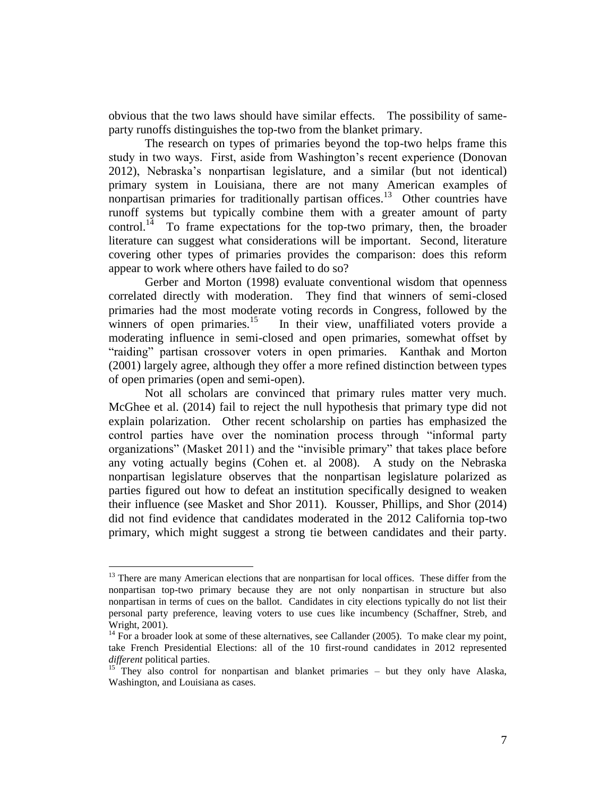obvious that the two laws should have similar effects. The possibility of sameparty runoffs distinguishes the top-two from the blanket primary.

The research on types of primaries beyond the top-two helps frame this study in two ways. First, aside from Washington's recent experience (Donovan 2012), Nebraska's nonpartisan legislature, and a similar (but not identical) primary system in Louisiana, there are not many American examples of nonpartisan primaries for traditionally partisan offices.<sup>13</sup> Other countries have runoff systems but typically combine them with a greater amount of party control.<sup>14</sup> To frame expectations for the top-two primary, then, the broader literature can suggest what considerations will be important. Second, literature covering other types of primaries provides the comparison: does this reform appear to work where others have failed to do so?

Gerber and Morton (1998) evaluate conventional wisdom that openness correlated directly with moderation. They find that winners of semi-closed primaries had the most moderate voting records in Congress, followed by the winners of open primaries.<sup>15</sup> In their view, unaffiliated voters provide a moderating influence in semi-closed and open primaries, somewhat offset by "raiding" partisan crossover voters in open primaries. Kanthak and Morton (2001) largely agree, although they offer a more refined distinction between types of open primaries (open and semi-open).

Not all scholars are convinced that primary rules matter very much. McGhee et al. (2014) fail to reject the null hypothesis that primary type did not explain polarization. Other recent scholarship on parties has emphasized the control parties have over the nomination process through "informal party organizations" (Masket 2011) and the "invisible primary" that takes place before any voting actually begins (Cohen et. al 2008). A study on the Nebraska nonpartisan legislature observes that the nonpartisan legislature polarized as parties figured out how to defeat an institution specifically designed to weaken their influence (see Masket and Shor 2011). Kousser, Phillips, and Shor (2014) did not find evidence that candidates moderated in the 2012 California top-two primary, which might suggest a strong tie between candidates and their party.

 $13$  There are many American elections that are nonpartisan for local offices. These differ from the nonpartisan top-two primary because they are not only nonpartisan in structure but also nonpartisan in terms of cues on the ballot. Candidates in city elections typically do not list their personal party preference, leaving voters to use cues like incumbency (Schaffner, Streb, and Wright, 2001).

 $14$  For a broader look at some of these alternatives, see Callander (2005). To make clear my point, take French Presidential Elections: all of the 10 first-round candidates in 2012 represented *different* political parties.

<sup>15</sup> They also control for nonpartisan and blanket primaries – but they only have Alaska, Washington, and Louisiana as cases.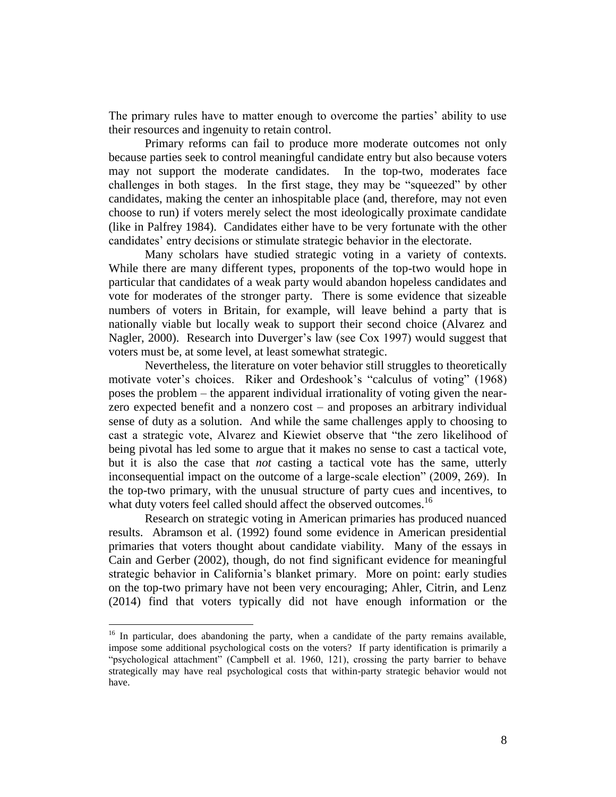The primary rules have to matter enough to overcome the parties' ability to use their resources and ingenuity to retain control.

Primary reforms can fail to produce more moderate outcomes not only because parties seek to control meaningful candidate entry but also because voters may not support the moderate candidates. In the top-two, moderates face challenges in both stages. In the first stage, they may be "squeezed" by other candidates, making the center an inhospitable place (and, therefore, may not even choose to run) if voters merely select the most ideologically proximate candidate (like in Palfrey 1984). Candidates either have to be very fortunate with the other candidates' entry decisions or stimulate strategic behavior in the electorate.

Many scholars have studied strategic voting in a variety of contexts. While there are many different types, proponents of the top-two would hope in particular that candidates of a weak party would abandon hopeless candidates and vote for moderates of the stronger party. There is some evidence that sizeable numbers of voters in Britain, for example, will leave behind a party that is nationally viable but locally weak to support their second choice (Alvarez and Nagler, 2000). Research into Duverger's law (see Cox 1997) would suggest that voters must be, at some level, at least somewhat strategic.

Nevertheless, the literature on voter behavior still struggles to theoretically motivate voter's choices. Riker and Ordeshook's "calculus of voting" (1968) poses the problem – the apparent individual irrationality of voting given the nearzero expected benefit and a nonzero cost – and proposes an arbitrary individual sense of duty as a solution. And while the same challenges apply to choosing to cast a strategic vote, Alvarez and Kiewiet observe that "the zero likelihood of being pivotal has led some to argue that it makes no sense to cast a tactical vote, but it is also the case that *not* casting a tactical vote has the same, utterly inconsequential impact on the outcome of a large-scale election" (2009, 269). In the top-two primary, with the unusual structure of party cues and incentives, to what duty voters feel called should affect the observed outcomes.<sup>16</sup>

Research on strategic voting in American primaries has produced nuanced results. Abramson et al. (1992) found some evidence in American presidential primaries that voters thought about candidate viability. Many of the essays in Cain and Gerber (2002), though, do not find significant evidence for meaningful strategic behavior in California's blanket primary. More on point: early studies on the top-two primary have not been very encouraging; Ahler, Citrin, and Lenz (2014) find that voters typically did not have enough information or the

<sup>&</sup>lt;sup>16</sup> In particular, does abandoning the party, when a candidate of the party remains available, impose some additional psychological costs on the voters? If party identification is primarily a "psychological attachment" (Campbell et al. 1960, 121), crossing the party barrier to behave strategically may have real psychological costs that within-party strategic behavior would not have.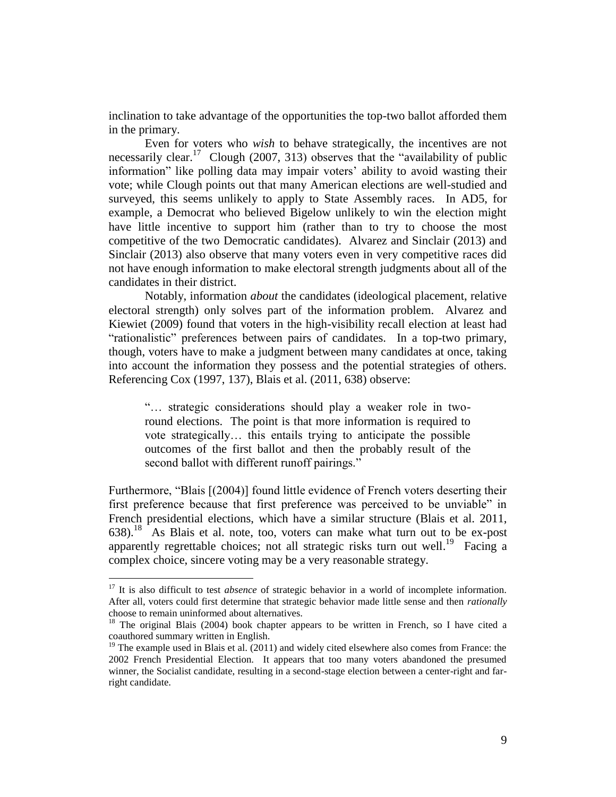inclination to take advantage of the opportunities the top-two ballot afforded them in the primary.

Even for voters who *wish* to behave strategically, the incentives are not necessarily clear.<sup>17</sup> Clough (2007, 313) observes that the "availability of public information" like polling data may impair voters' ability to avoid wasting their vote; while Clough points out that many American elections are well-studied and surveyed, this seems unlikely to apply to State Assembly races. In AD5, for example, a Democrat who believed Bigelow unlikely to win the election might have little incentive to support him (rather than to try to choose the most competitive of the two Democratic candidates). Alvarez and Sinclair (2013) and Sinclair (2013) also observe that many voters even in very competitive races did not have enough information to make electoral strength judgments about all of the candidates in their district.

Notably, information *about* the candidates (ideological placement, relative electoral strength) only solves part of the information problem. Alvarez and Kiewiet (2009) found that voters in the high-visibility recall election at least had "rationalistic" preferences between pairs of candidates. In a top-two primary, though, voters have to make a judgment between many candidates at once, taking into account the information they possess and the potential strategies of others. Referencing Cox (1997, 137), Blais et al. (2011, 638) observe:

"… strategic considerations should play a weaker role in tworound elections. The point is that more information is required to vote strategically… this entails trying to anticipate the possible outcomes of the first ballot and then the probably result of the second ballot with different runoff pairings."

Furthermore, "Blais [(2004)] found little evidence of French voters deserting their first preference because that first preference was perceived to be unviable" in French presidential elections, which have a similar structure (Blais et al. 2011,  $638$ .<sup>18</sup> As Blais et al. note, too, voters can make what turn out to be ex-post apparently regrettable choices; not all strategic risks turn out well.<sup>19</sup> Facing a complex choice, sincere voting may be a very reasonable strategy.

<sup>&</sup>lt;sup>17</sup> It is also difficult to test *absence* of strategic behavior in a world of incomplete information. After all, voters could first determine that strategic behavior made little sense and then *rationally* choose to remain uninformed about alternatives.

<sup>&</sup>lt;sup>18</sup> The original Blais (2004) book chapter appears to be written in French, so I have cited a coauthored summary written in English.

 $19$  The example used in Blais et al. (2011) and widely cited elsewhere also comes from France: the 2002 French Presidential Election. It appears that too many voters abandoned the presumed winner, the Socialist candidate, resulting in a second-stage election between a center-right and farright candidate.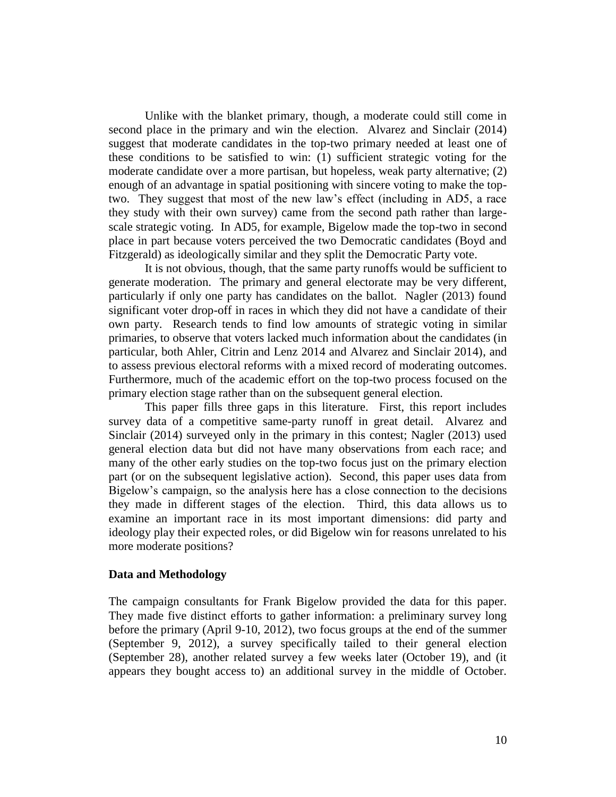Unlike with the blanket primary, though, a moderate could still come in second place in the primary and win the election. Alvarez and Sinclair (2014) suggest that moderate candidates in the top-two primary needed at least one of these conditions to be satisfied to win: (1) sufficient strategic voting for the moderate candidate over a more partisan, but hopeless, weak party alternative; (2) enough of an advantage in spatial positioning with sincere voting to make the toptwo. They suggest that most of the new law's effect (including in AD5, a race they study with their own survey) came from the second path rather than largescale strategic voting. In AD5, for example, Bigelow made the top-two in second place in part because voters perceived the two Democratic candidates (Boyd and Fitzgerald) as ideologically similar and they split the Democratic Party vote.

It is not obvious, though, that the same party runoffs would be sufficient to generate moderation. The primary and general electorate may be very different, particularly if only one party has candidates on the ballot. Nagler (2013) found significant voter drop-off in races in which they did not have a candidate of their own party. Research tends to find low amounts of strategic voting in similar primaries, to observe that voters lacked much information about the candidates (in particular, both Ahler, Citrin and Lenz 2014 and Alvarez and Sinclair 2014), and to assess previous electoral reforms with a mixed record of moderating outcomes. Furthermore, much of the academic effort on the top-two process focused on the primary election stage rather than on the subsequent general election.

This paper fills three gaps in this literature. First, this report includes survey data of a competitive same-party runoff in great detail. Alvarez and Sinclair (2014) surveyed only in the primary in this contest; Nagler (2013) used general election data but did not have many observations from each race; and many of the other early studies on the top-two focus just on the primary election part (or on the subsequent legislative action). Second, this paper uses data from Bigelow's campaign, so the analysis here has a close connection to the decisions they made in different stages of the election. Third, this data allows us to examine an important race in its most important dimensions: did party and ideology play their expected roles, or did Bigelow win for reasons unrelated to his more moderate positions?

### **Data and Methodology**

The campaign consultants for Frank Bigelow provided the data for this paper. They made five distinct efforts to gather information: a preliminary survey long before the primary (April 9-10, 2012), two focus groups at the end of the summer (September 9, 2012), a survey specifically tailed to their general election (September 28), another related survey a few weeks later (October 19), and (it appears they bought access to) an additional survey in the middle of October.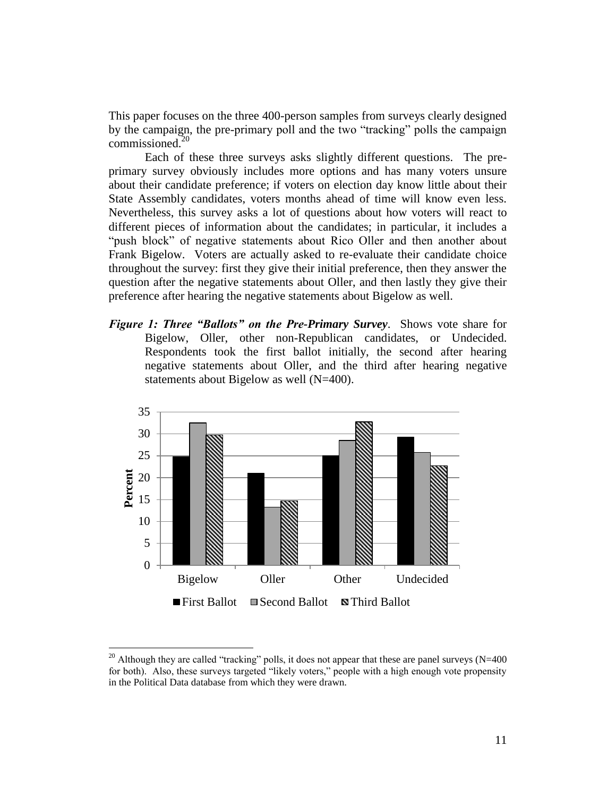This paper focuses on the three 400-person samples from surveys clearly designed by the campaign, the pre-primary poll and the two "tracking" polls the campaign commissioned.<sup>20</sup>

Each of these three surveys asks slightly different questions. The preprimary survey obviously includes more options and has many voters unsure about their candidate preference; if voters on election day know little about their State Assembly candidates, voters months ahead of time will know even less. Nevertheless, this survey asks a lot of questions about how voters will react to different pieces of information about the candidates; in particular, it includes a "push block" of negative statements about Rico Oller and then another about Frank Bigelow. Voters are actually asked to re-evaluate their candidate choice throughout the survey: first they give their initial preference, then they answer the question after the negative statements about Oller, and then lastly they give their preference after hearing the negative statements about Bigelow as well.

*Figure 1: Three "Ballots" on the Pre-Primary Survey*. Shows vote share for Bigelow, Oller, other non-Republican candidates, or Undecided. Respondents took the first ballot initially, the second after hearing negative statements about Oller, and the third after hearing negative statements about Bigelow as well (N=400).



<sup>&</sup>lt;sup>20</sup> Although they are called "tracking" polls, it does not appear that these are panel surveys (N=400) for both). Also, these surveys targeted "likely voters," people with a high enough vote propensity in the Political Data database from which they were drawn.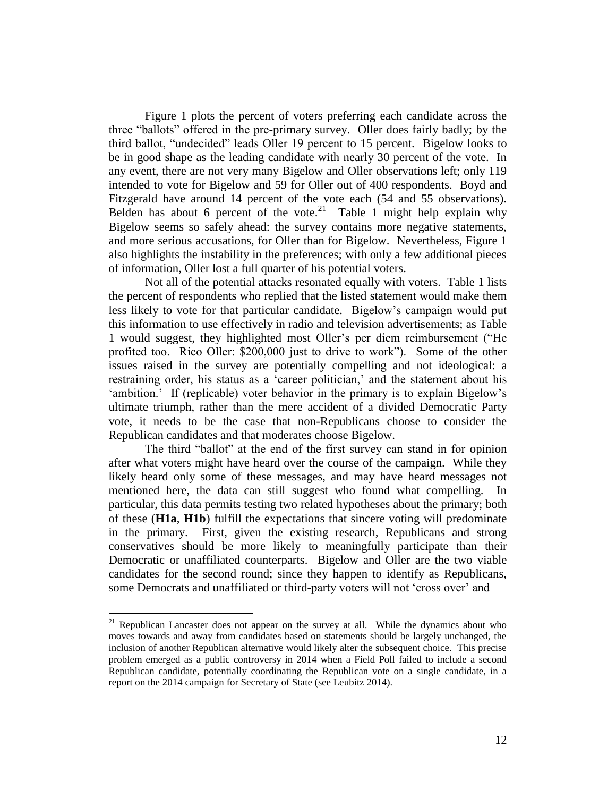Figure 1 plots the percent of voters preferring each candidate across the three "ballots" offered in the pre-primary survey. Oller does fairly badly; by the third ballot, "undecided" leads Oller 19 percent to 15 percent. Bigelow looks to be in good shape as the leading candidate with nearly 30 percent of the vote. In any event, there are not very many Bigelow and Oller observations left; only 119 intended to vote for Bigelow and 59 for Oller out of 400 respondents. Boyd and Fitzgerald have around 14 percent of the vote each (54 and 55 observations). Belden has about 6 percent of the vote.<sup>21</sup> Table 1 might help explain why Bigelow seems so safely ahead: the survey contains more negative statements, and more serious accusations, for Oller than for Bigelow. Nevertheless, Figure 1 also highlights the instability in the preferences; with only a few additional pieces of information, Oller lost a full quarter of his potential voters.

Not all of the potential attacks resonated equally with voters. Table 1 lists the percent of respondents who replied that the listed statement would make them less likely to vote for that particular candidate. Bigelow's campaign would put this information to use effectively in radio and television advertisements; as Table 1 would suggest, they highlighted most Oller's per diem reimbursement ("He profited too. Rico Oller: \$200,000 just to drive to work"). Some of the other issues raised in the survey are potentially compelling and not ideological: a restraining order, his status as a 'career politician,' and the statement about his 'ambition.' If (replicable) voter behavior in the primary is to explain Bigelow's ultimate triumph, rather than the mere accident of a divided Democratic Party vote, it needs to be the case that non-Republicans choose to consider the Republican candidates and that moderates choose Bigelow.

The third "ballot" at the end of the first survey can stand in for opinion after what voters might have heard over the course of the campaign. While they likely heard only some of these messages, and may have heard messages not mentioned here, the data can still suggest who found what compelling. In particular, this data permits testing two related hypotheses about the primary; both of these (**H1a**, **H1b**) fulfill the expectations that sincere voting will predominate in the primary. First, given the existing research, Republicans and strong conservatives should be more likely to meaningfully participate than their Democratic or unaffiliated counterparts. Bigelow and Oller are the two viable candidates for the second round; since they happen to identify as Republicans, some Democrats and unaffiliated or third-party voters will not 'cross over' and

<sup>&</sup>lt;sup>21</sup> Republican Lancaster does not appear on the survey at all. While the dynamics about who moves towards and away from candidates based on statements should be largely unchanged, the inclusion of another Republican alternative would likely alter the subsequent choice. This precise problem emerged as a public controversy in 2014 when a Field Poll failed to include a second Republican candidate, potentially coordinating the Republican vote on a single candidate, in a report on the 2014 campaign for Secretary of State (see Leubitz 2014).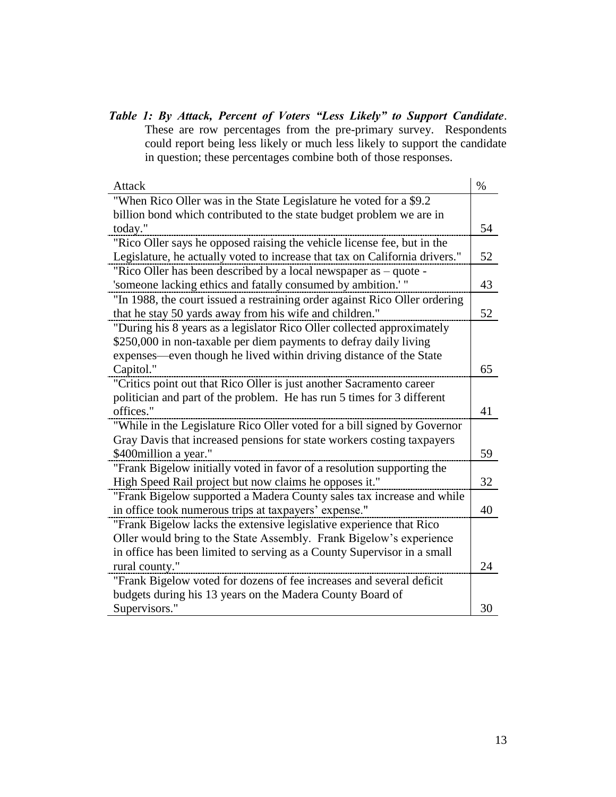*Table 1: By Attack, Percent of Voters "Less Likely" to Support Candidate*. These are row percentages from the pre-primary survey. Respondents could report being less likely or much less likely to support the candidate in question; these percentages combine both of those responses.

| <b>Attack</b>                                                               | $\%$ |
|-----------------------------------------------------------------------------|------|
| "When Rico Oller was in the State Legislature he voted for a \$9.2          |      |
| billion bond which contributed to the state budget problem we are in        |      |
| today."                                                                     | 54   |
| "Rico Oller says he opposed raising the vehicle license fee, but in the     |      |
| Legislature, he actually voted to increase that tax on California drivers." | 52   |
| "Rico Oller has been described by a local newspaper as – quote -            |      |
| 'someone lacking ethics and fatally consumed by ambition.' "                | 43   |
| "In 1988, the court issued a restraining order against Rico Oller ordering  |      |
| that he stay 50 yards away from his wife and children."                     | 52   |
| "During his 8 years as a legislator Rico Oller collected approximately      |      |
| \$250,000 in non-taxable per diem payments to defray daily living           |      |
| expenses—even though he lived within driving distance of the State          |      |
| Capitol."                                                                   | 65   |
| "Critics point out that Rico Oller is just another Sacramento career        |      |
| politician and part of the problem. He has run 5 times for 3 different      |      |
| offices."                                                                   | 41   |
| "While in the Legislature Rico Oller voted for a bill signed by Governor    |      |
| Gray Davis that increased pensions for state workers costing taxpayers      |      |
| \$400 million a year."                                                      | 59   |
| "Frank Bigelow initially voted in favor of a resolution supporting the      |      |
| High Speed Rail project but now claims he opposes it."                      | 32   |
| "Frank Bigelow supported a Madera County sales tax increase and while       |      |
| in office took numerous trips at taxpayers' expense."                       | 40   |
| "Frank Bigelow lacks the extensive legislative experience that Rico         |      |
| Oller would bring to the State Assembly. Frank Bigelow's experience         |      |
| in office has been limited to serving as a County Supervisor in a small     |      |
| rural county."                                                              | 24   |
| "Frank Bigelow voted for dozens of fee increases and several deficit        |      |
| budgets during his 13 years on the Madera County Board of                   |      |
| Supervisors."                                                               | 30   |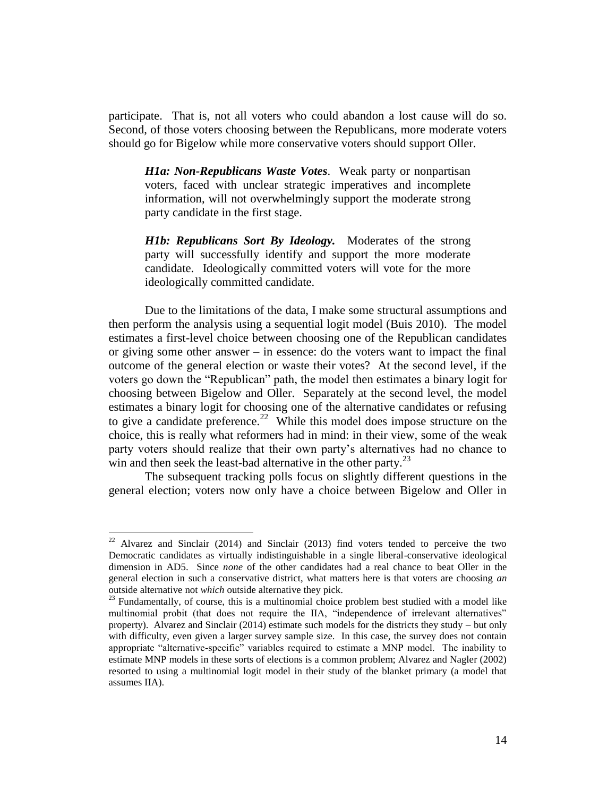participate. That is, not all voters who could abandon a lost cause will do so. Second, of those voters choosing between the Republicans, more moderate voters should go for Bigelow while more conservative voters should support Oller.

*H1a: Non-Republicans Waste Votes*. Weak party or nonpartisan voters, faced with unclear strategic imperatives and incomplete information, will not overwhelmingly support the moderate strong party candidate in the first stage.

*H1b: Republicans Sort By Ideology.* Moderates of the strong party will successfully identify and support the more moderate candidate. Ideologically committed voters will vote for the more ideologically committed candidate.

Due to the limitations of the data, I make some structural assumptions and then perform the analysis using a sequential logit model (Buis 2010). The model estimates a first-level choice between choosing one of the Republican candidates or giving some other answer – in essence: do the voters want to impact the final outcome of the general election or waste their votes? At the second level, if the voters go down the "Republican" path, the model then estimates a binary logit for choosing between Bigelow and Oller. Separately at the second level, the model estimates a binary logit for choosing one of the alternative candidates or refusing to give a candidate preference.<sup>22</sup> While this model does impose structure on the choice, this is really what reformers had in mind: in their view, some of the weak party voters should realize that their own party's alternatives had no chance to win and then seek the least-bad alternative in the other party.<sup>23</sup>

The subsequent tracking polls focus on slightly different questions in the general election; voters now only have a choice between Bigelow and Oller in

 $22$  Alvarez and Sinclair (2014) and Sinclair (2013) find voters tended to perceive the two Democratic candidates as virtually indistinguishable in a single liberal-conservative ideological dimension in AD5. Since *none* of the other candidates had a real chance to beat Oller in the general election in such a conservative district, what matters here is that voters are choosing *an* outside alternative not *which* outside alternative they pick.

<sup>&</sup>lt;sup>23</sup> Fundamentally, of course, this is a multinomial choice problem best studied with a model like multinomial probit (that does not require the IIA, "independence of irrelevant alternatives" property). Alvarez and Sinclair (2014) estimate such models for the districts they study – but only with difficulty, even given a larger survey sample size. In this case, the survey does not contain appropriate "alternative-specific" variables required to estimate a MNP model. The inability to estimate MNP models in these sorts of elections is a common problem; Alvarez and Nagler (2002) resorted to using a multinomial logit model in their study of the blanket primary (a model that assumes IIA).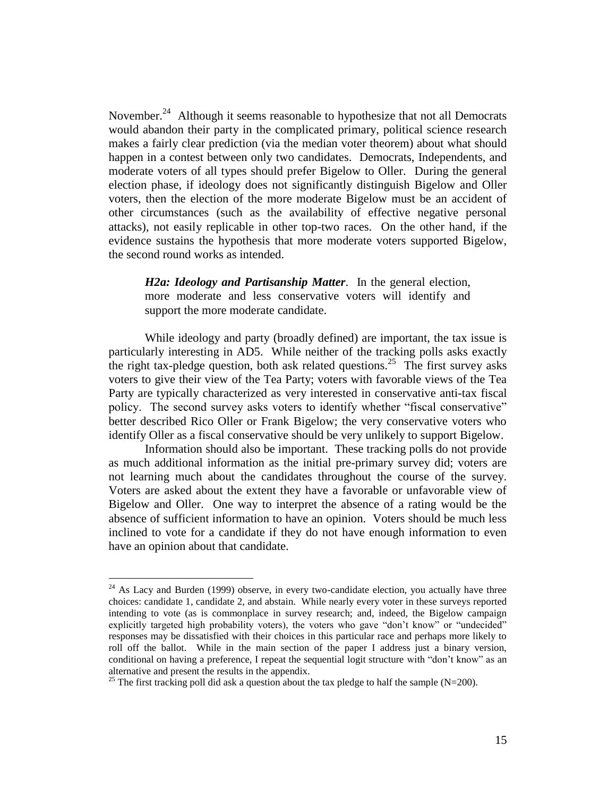November.<sup>24</sup> Although it seems reasonable to hypothesize that not all Democrats would abandon their party in the complicated primary, political science research makes a fairly clear prediction (via the median voter theorem) about what should happen in a contest between only two candidates. Democrats, Independents, and moderate voters of all types should prefer Bigelow to Oller. During the general election phase, if ideology does not significantly distinguish Bigelow and Oller voters, then the election of the more moderate Bigelow must be an accident of other circumstances (such as the availability of effective negative personal attacks), not easily replicable in other top-two races. On the other hand, if the evidence sustains the hypothesis that more moderate voters supported Bigelow, the second round works as intended.

*H2a: Ideology and Partisanship Matter*. In the general election, more moderate and less conservative voters will identify and support the more moderate candidate.

While ideology and party (broadly defined) are important, the tax issue is particularly interesting in AD5. While neither of the tracking polls asks exactly the right tax-pledge question, both ask related questions.<sup>25</sup> The first survey asks voters to give their view of the Tea Party; voters with favorable views of the Tea Party are typically characterized as very interested in conservative anti-tax fiscal policy. The second survey asks voters to identify whether "fiscal conservative" better described Rico Oller or Frank Bigelow; the very conservative voters who identify Oller as a fiscal conservative should be very unlikely to support Bigelow.

Information should also be important. These tracking polls do not provide as much additional information as the initial pre-primary survey did; voters are not learning much about the candidates throughout the course of the survey. Voters are asked about the extent they have a favorable or unfavorable view of Bigelow and Oller. One way to interpret the absence of a rating would be the absence of sufficient information to have an opinion. Voters should be much less inclined to vote for a candidate if they do not have enough information to even have an opinion about that candidate.

 $24$  As Lacy and Burden (1999) observe, in every two-candidate election, you actually have three choices: candidate 1, candidate 2, and abstain. While nearly every voter in these surveys reported intending to vote (as is commonplace in survey research; and, indeed, the Bigelow campaign explicitly targeted high probability voters), the voters who gave "don't know" or "undecided" responses may be dissatisfied with their choices in this particular race and perhaps more likely to roll off the ballot. While in the main section of the paper I address just a binary version, conditional on having a preference, I repeat the sequential logit structure with "don't know" as an alternative and present the results in the appendix.

<sup>&</sup>lt;sup>25</sup> The first tracking poll did ask a question about the tax pledge to half the sample (N=200).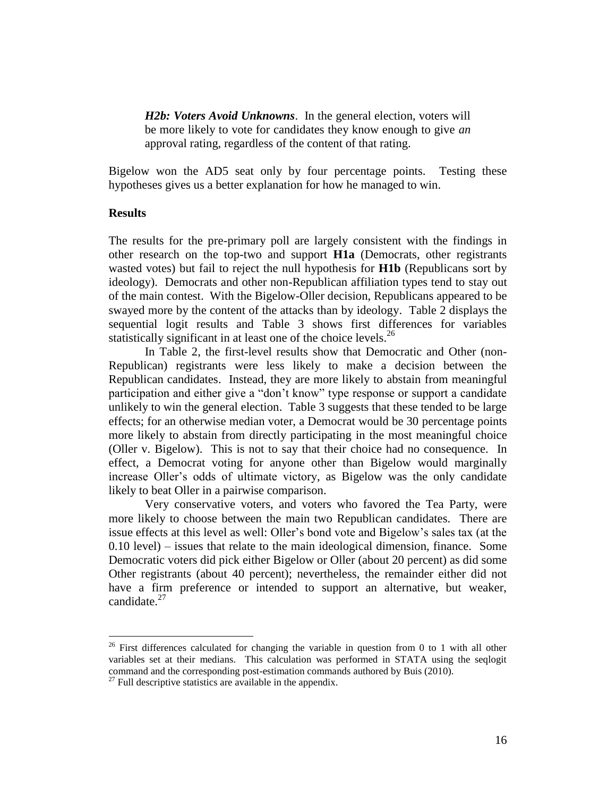*H2b: Voters Avoid Unknowns*. In the general election, voters will be more likely to vote for candidates they know enough to give *an* approval rating, regardless of the content of that rating.

Bigelow won the AD5 seat only by four percentage points. Testing these hypotheses gives us a better explanation for how he managed to win.

### **Results**

 $\overline{a}$ 

The results for the pre-primary poll are largely consistent with the findings in other research on the top-two and support **H1a** (Democrats, other registrants wasted votes) but fail to reject the null hypothesis for **H1b** (Republicans sort by ideology). Democrats and other non-Republican affiliation types tend to stay out of the main contest. With the Bigelow-Oller decision, Republicans appeared to be swayed more by the content of the attacks than by ideology. Table 2 displays the sequential logit results and Table 3 shows first differences for variables statistically significant in at least one of the choice levels.<sup>26</sup>

In Table 2, the first-level results show that Democratic and Other (non-Republican) registrants were less likely to make a decision between the Republican candidates. Instead, they are more likely to abstain from meaningful participation and either give a "don't know" type response or support a candidate unlikely to win the general election. Table 3 suggests that these tended to be large effects; for an otherwise median voter, a Democrat would be 30 percentage points more likely to abstain from directly participating in the most meaningful choice (Oller v. Bigelow). This is not to say that their choice had no consequence. In effect, a Democrat voting for anyone other than Bigelow would marginally increase Oller's odds of ultimate victory, as Bigelow was the only candidate likely to beat Oller in a pairwise comparison.

Very conservative voters, and voters who favored the Tea Party, were more likely to choose between the main two Republican candidates. There are issue effects at this level as well: Oller's bond vote and Bigelow's sales tax (at the 0.10 level) – issues that relate to the main ideological dimension, finance. Some Democratic voters did pick either Bigelow or Oller (about 20 percent) as did some Other registrants (about 40 percent); nevertheless, the remainder either did not have a firm preference or intended to support an alternative, but weaker, candidate. 27

<sup>&</sup>lt;sup>26</sup> First differences calculated for changing the variable in question from 0 to 1 with all other variables set at their medians. This calculation was performed in STATA using the seqlogit command and the corresponding post-estimation commands authored by Buis (2010).

 $^{27}$  Full descriptive statistics are available in the appendix.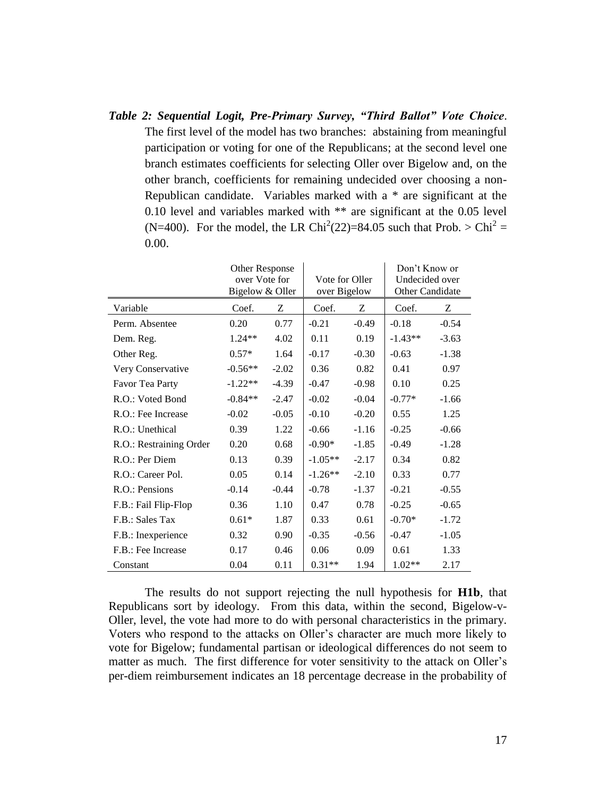*Table 2: Sequential Logit, Pre-Primary Survey, "Third Ballot" Vote Choice*. The first level of the model has two branches: abstaining from meaningful participation or voting for one of the Republicans; at the second level one branch estimates coefficients for selecting Oller over Bigelow and, on the other branch, coefficients for remaining undecided over choosing a non-Republican candidate. Variables marked with a \* are significant at the 0.10 level and variables marked with \*\* are significant at the 0.05 level (N=400). For the model, the LR Chi<sup>2</sup>(22)=84.05 such that Prob. > Chi<sup>2</sup> = 0.00.

|                         | Other Response<br>over Vote for<br>Bigelow & Oller |         | Vote for Oller<br>over Bigelow |         | Don't Know or<br>Undecided over<br>Other Candidate |         |
|-------------------------|----------------------------------------------------|---------|--------------------------------|---------|----------------------------------------------------|---------|
| Variable                | Coef.                                              | Z       | Coef.                          | Ζ       | Coef.                                              | Z       |
| Perm. Absentee          | 0.20                                               | 0.77    | $-0.21$                        | $-0.49$ | $-0.18$                                            | $-0.54$ |
| Dem. Reg.               | $1.24**$                                           | 4.02    | 0.11                           | 0.19    | $-1.43**$                                          | $-3.63$ |
| Other Reg.              | $0.57*$                                            | 1.64    | $-0.17$                        | $-0.30$ | $-0.63$                                            | $-1.38$ |
| Very Conservative       | $-0.56**$                                          | $-2.02$ | 0.36                           | 0.82    | 0.41                                               | 0.97    |
| Favor Tea Party         | $-1.22**$                                          | $-4.39$ | $-0.47$                        | $-0.98$ | 0.10                                               | 0.25    |
| R.O.: Voted Bond        | $-0.84**$                                          | $-2.47$ | $-0.02$                        | $-0.04$ | $-0.77*$                                           | $-1.66$ |
| R.O.: Fee Increase      | $-0.02$                                            | $-0.05$ | $-0.10$                        | $-0.20$ | 0.55                                               | 1.25    |
| R.O.: Unethical         | 0.39                                               | 1.22    | $-0.66$                        | $-1.16$ | $-0.25$                                            | $-0.66$ |
| R.O.: Restraining Order | 0.20                                               | 0.68    | $-0.90*$                       | $-1.85$ | $-0.49$                                            | $-1.28$ |
| R.O.: Per Diem          | 0.13                                               | 0.39    | $-1.05**$                      | $-2.17$ | 0.34                                               | 0.82    |
| R.O.: Career Pol.       | 0.05                                               | 0.14    | $-1.26**$                      | $-2.10$ | 0.33                                               | 0.77    |
| R.O.: Pensions          | $-0.14$                                            | $-0.44$ | $-0.78$                        | $-1.37$ | $-0.21$                                            | $-0.55$ |
| F.B.: Fail Flip-Flop    | 0.36                                               | 1.10    | 0.47                           | 0.78    | $-0.25$                                            | $-0.65$ |
| F.B.: Sales Tax         | $0.61*$                                            | 1.87    | 0.33                           | 0.61    | $-0.70*$                                           | $-1.72$ |
| F.B.: Inexperience      | 0.32                                               | 0.90    | $-0.35$                        | $-0.56$ | $-0.47$                                            | $-1.05$ |
| F.B.: Fee Increase      | 0.17                                               | 0.46    | 0.06                           | 0.09    | 0.61                                               | 1.33    |
| Constant                | 0.04                                               | 0.11    | $0.31**$                       | 1.94    | $1.02**$                                           | 2.17    |

The results do not support rejecting the null hypothesis for **H1b**, that Republicans sort by ideology. From this data, within the second, Bigelow-v-Oller, level, the vote had more to do with personal characteristics in the primary. Voters who respond to the attacks on Oller's character are much more likely to vote for Bigelow; fundamental partisan or ideological differences do not seem to matter as much. The first difference for voter sensitivity to the attack on Oller's per-diem reimbursement indicates an 18 percentage decrease in the probability of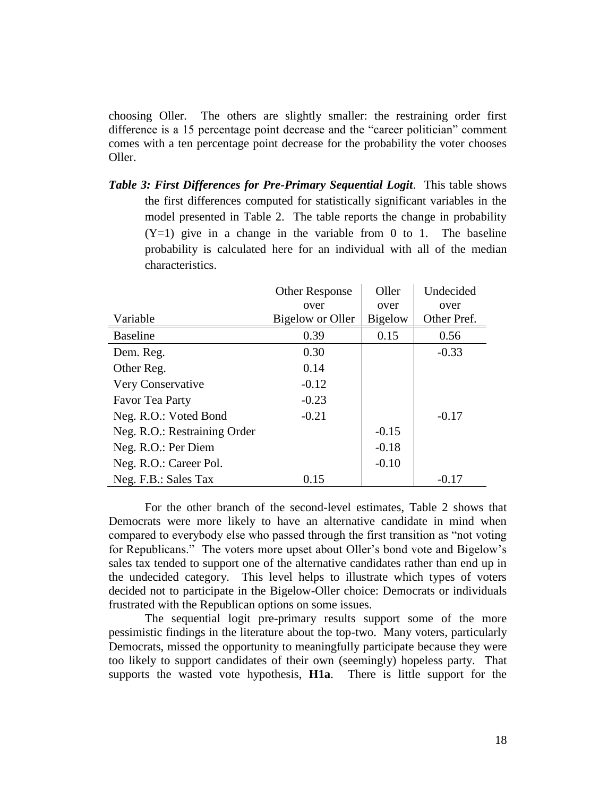choosing Oller. The others are slightly smaller: the restraining order first difference is a 15 percentage point decrease and the "career politician" comment comes with a ten percentage point decrease for the probability the voter chooses Oller.

*Table 3: First Differences for Pre-Primary Sequential Logit*. This table shows the first differences computed for statistically significant variables in the model presented in Table 2. The table reports the change in probability  $(Y=1)$  give in a change in the variable from 0 to 1. The baseline probability is calculated here for an individual with all of the median characteristics.

|                              | <b>Other Response</b> | Oller          | Undecided   |
|------------------------------|-----------------------|----------------|-------------|
|                              | over                  | over           | over        |
| Variable                     | Bigelow or Oller      | <b>Bigelow</b> | Other Pref. |
| <b>Baseline</b>              | 0.39                  | 0.15           | 0.56        |
| Dem. Reg.                    | 0.30                  |                | $-0.33$     |
| Other Reg.                   | 0.14                  |                |             |
| Very Conservative            | $-0.12$               |                |             |
| Favor Tea Party              | $-0.23$               |                |             |
| Neg. R.O.: Voted Bond        | $-0.21$               |                | $-0.17$     |
| Neg. R.O.: Restraining Order |                       | $-0.15$        |             |
| Neg. R.O.: Per Diem          |                       | $-0.18$        |             |
| Neg. R.O.: Career Pol.       |                       | $-0.10$        |             |
| Neg. F.B.: Sales Tax         | 0.15                  |                | $-0.17$     |

For the other branch of the second-level estimates, Table 2 shows that Democrats were more likely to have an alternative candidate in mind when compared to everybody else who passed through the first transition as "not voting for Republicans." The voters more upset about Oller's bond vote and Bigelow's sales tax tended to support one of the alternative candidates rather than end up in the undecided category. This level helps to illustrate which types of voters decided not to participate in the Bigelow-Oller choice: Democrats or individuals frustrated with the Republican options on some issues.

The sequential logit pre-primary results support some of the more pessimistic findings in the literature about the top-two. Many voters, particularly Democrats, missed the opportunity to meaningfully participate because they were too likely to support candidates of their own (seemingly) hopeless party. That supports the wasted vote hypothesis, **H1a**. There is little support for the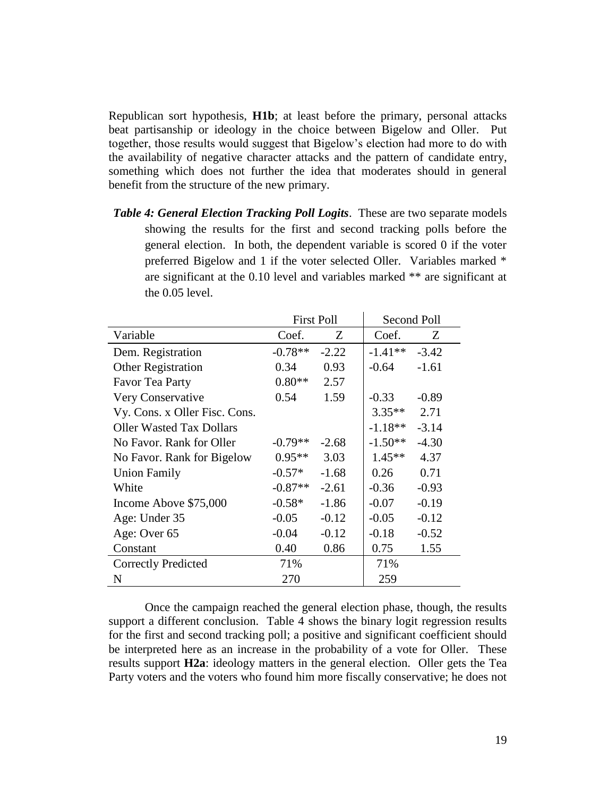Republican sort hypothesis, **H1b**; at least before the primary, personal attacks beat partisanship or ideology in the choice between Bigelow and Oller. Put together, those results would suggest that Bigelow's election had more to do with the availability of negative character attacks and the pattern of candidate entry, something which does not further the idea that moderates should in general benefit from the structure of the new primary.

*Table 4: General Election Tracking Poll Logits*. These are two separate models showing the results for the first and second tracking polls before the general election. In both, the dependent variable is scored 0 if the voter preferred Bigelow and 1 if the voter selected Oller. Variables marked \* are significant at the 0.10 level and variables marked \*\* are significant at the 0.05 level.

|                                 |           | <b>First Poll</b> | Second Poll |         |
|---------------------------------|-----------|-------------------|-------------|---------|
| Variable                        | Coef.     | Z                 | Coef.       | Ζ       |
| Dem. Registration               | $-0.78**$ | $-2.22$           | $-1.41**$   | $-3.42$ |
| <b>Other Registration</b>       | 0.34      | 0.93              | $-0.64$     | $-1.61$ |
| <b>Favor Tea Party</b>          | $0.80**$  | 2.57              |             |         |
| Very Conservative               | 0.54      | 1.59              | $-0.33$     | $-0.89$ |
| Vy. Cons. x Oller Fisc. Cons.   |           |                   | $3.35**$    | 2.71    |
| <b>Oller Wasted Tax Dollars</b> |           |                   | $-1.18**$   | $-3.14$ |
| No Favor. Rank for Oller        | $-0.79**$ | $-2.68$           | $-1.50**$   | $-4.30$ |
| No Favor. Rank for Bigelow      | $0.95**$  | 3.03              | $1.45**$    | 4.37    |
| <b>Union Family</b>             | $-0.57*$  | $-1.68$           | 0.26        | 0.71    |
| White                           | $-0.87**$ | $-2.61$           | $-0.36$     | $-0.93$ |
| Income Above \$75,000           | $-0.58*$  | $-1.86$           | $-0.07$     | $-0.19$ |
| Age: Under 35                   | $-0.05$   | $-0.12$           | $-0.05$     | $-0.12$ |
| Age: Over 65                    | $-0.04$   | $-0.12$           | $-0.18$     | $-0.52$ |
| Constant                        | 0.40      | 0.86              | 0.75        | 1.55    |
| <b>Correctly Predicted</b>      | 71%       |                   | 71%         |         |
| N                               | 270       |                   | 259         |         |

Once the campaign reached the general election phase, though, the results support a different conclusion. Table 4 shows the binary logit regression results for the first and second tracking poll; a positive and significant coefficient should be interpreted here as an increase in the probability of a vote for Oller. These results support **H2a**: ideology matters in the general election. Oller gets the Tea Party voters and the voters who found him more fiscally conservative; he does not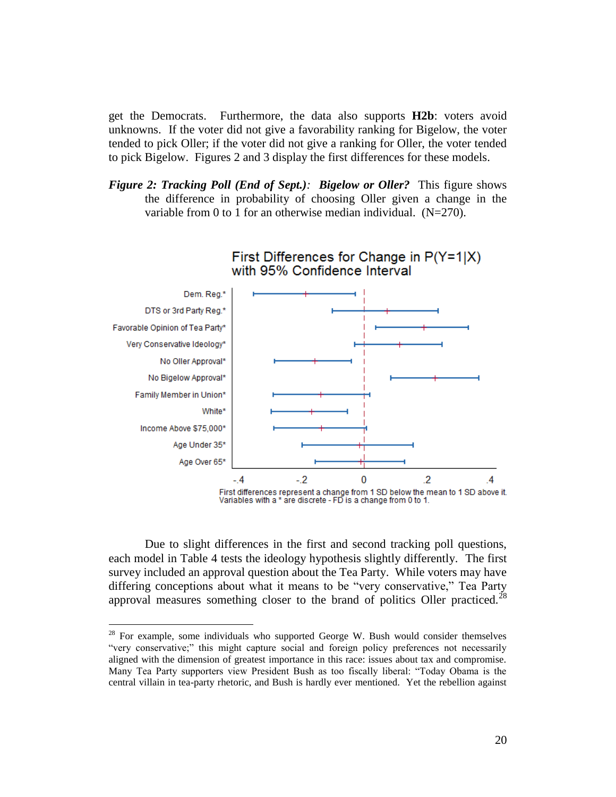get the Democrats. Furthermore, the data also supports **H2b**: voters avoid unknowns. If the voter did not give a favorability ranking for Bigelow, the voter tended to pick Oller; if the voter did not give a ranking for Oller, the voter tended to pick Bigelow. Figures 2 and 3 display the first differences for these models.

*Figure 2: Tracking Poll (End of Sept.): Bigelow or Oller?* This figure shows the difference in probability of choosing Oller given a change in the variable from 0 to 1 for an otherwise median individual. (N=270).



Due to slight differences in the first and second tracking poll questions, each model in Table 4 tests the ideology hypothesis slightly differently. The first survey included an approval question about the Tea Party. While voters may have differing conceptions about what it means to be "very conservative," Tea Party approval measures something closer to the brand of politics Oller practiced.<sup>28</sup>

 $28$  For example, some individuals who supported George W. Bush would consider themselves "very conservative;" this might capture social and foreign policy preferences not necessarily aligned with the dimension of greatest importance in this race: issues about tax and compromise. Many Tea Party supporters view President Bush as too fiscally liberal: "Today Obama is the central villain in tea-party rhetoric, and Bush is hardly ever mentioned. Yet the rebellion against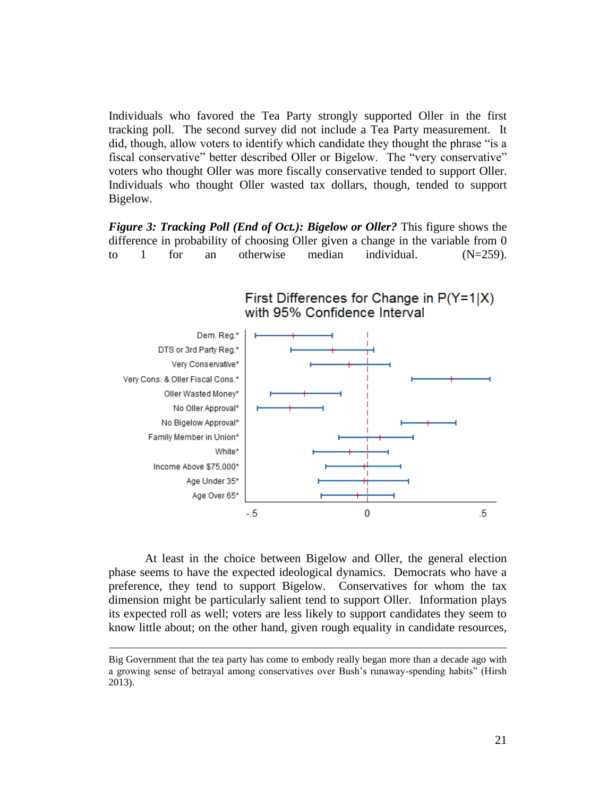Individuals who favored the Tea Party strongly supported Oller in the first tracking poll. The second survey did not include a Tea Party measurement. It did, though, allow voters to identify which candidate they thought the phrase "is a fiscal conservative" better described Oller or Bigelow. The "very conservative" voters who thought Oller was more fiscally conservative tended to support Oller. Individuals who thought Oller wasted tax dollars, though, tended to support Bigelow.

*Figure 3: Tracking Poll (End of Oct.): Bigelow or Oller?* This figure shows the difference in probability of choosing Oller given a change in the variable from 0 to 1 for an otherwise median individual.  $(N=259)$ .



At least in the choice between Bigelow and Oller, the general election phase seems to have the expected ideological dynamics. Democrats who have a preference, they tend to support Bigelow. Conservatives for whom the tax dimension might be particularly salient tend to support Oller. Information plays its expected roll as well; voters are less likely to support candidates they seem to know little about; on the other hand, given rough equality in candidate resources,

Big Government that the tea party has come to embody really began more than a decade ago with a growing sense of betrayal among conservatives over Bush's runaway-spending habits" (Hirsh 2013).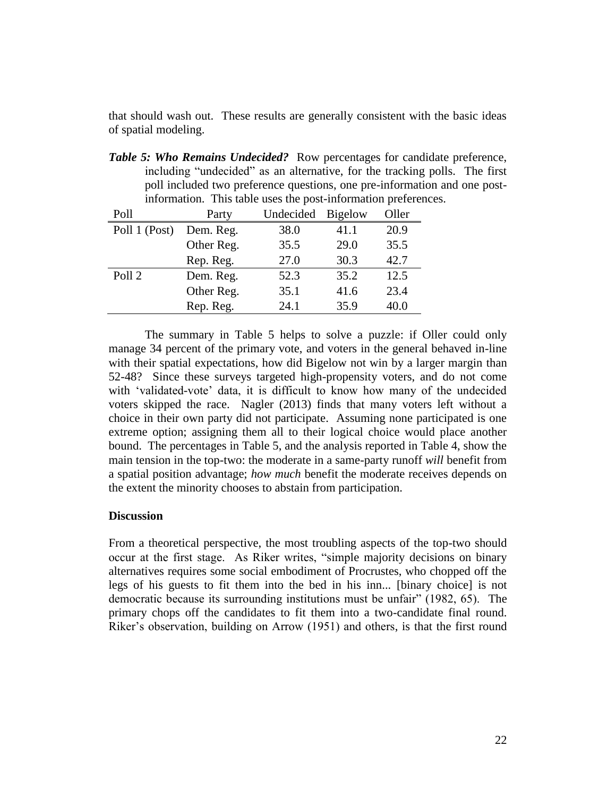that should wash out. These results are generally consistent with the basic ideas of spatial modeling.

*Table 5: Who Remains Undecided?* Row percentages for candidate preference, including "undecided" as an alternative, for the tracking polls. The first poll included two preference questions, one pre-information and one postinformation. This table uses the post-information preferences.

| Poll          | Party      | Undecided | <b>Bigelow</b> | Oller |
|---------------|------------|-----------|----------------|-------|
| Poll 1 (Post) | Dem. Reg.  | 38.0      | 41.1           | 20.9  |
|               | Other Reg. | 35.5      | 29.0           | 35.5  |
|               | Rep. Reg.  | 27.0      | 30.3           | 42.7  |
| Poll 2        | Dem. Reg.  | 52.3      | 35.2           | 12.5  |
|               | Other Reg. | 35.1      | 41.6           | 23.4  |
|               | Rep. Reg.  | 24.1      | 35.9           | 40.0  |

The summary in Table 5 helps to solve a puzzle: if Oller could only manage 34 percent of the primary vote, and voters in the general behaved in-line with their spatial expectations, how did Bigelow not win by a larger margin than 52-48? Since these surveys targeted high-propensity voters, and do not come with 'validated-vote' data, it is difficult to know how many of the undecided voters skipped the race. Nagler (2013) finds that many voters left without a choice in their own party did not participate. Assuming none participated is one extreme option; assigning them all to their logical choice would place another bound. The percentages in Table 5, and the analysis reported in Table 4, show the main tension in the top-two: the moderate in a same-party runoff *will* benefit from a spatial position advantage; *how much* benefit the moderate receives depends on the extent the minority chooses to abstain from participation.

## **Discussion**

From a theoretical perspective, the most troubling aspects of the top-two should occur at the first stage. As Riker writes, "simple majority decisions on binary alternatives requires some social embodiment of Procrustes, who chopped off the legs of his guests to fit them into the bed in his inn... [binary choice] is not democratic because its surrounding institutions must be unfair" (1982, 65). The primary chops off the candidates to fit them into a two-candidate final round. Riker's observation, building on Arrow (1951) and others, is that the first round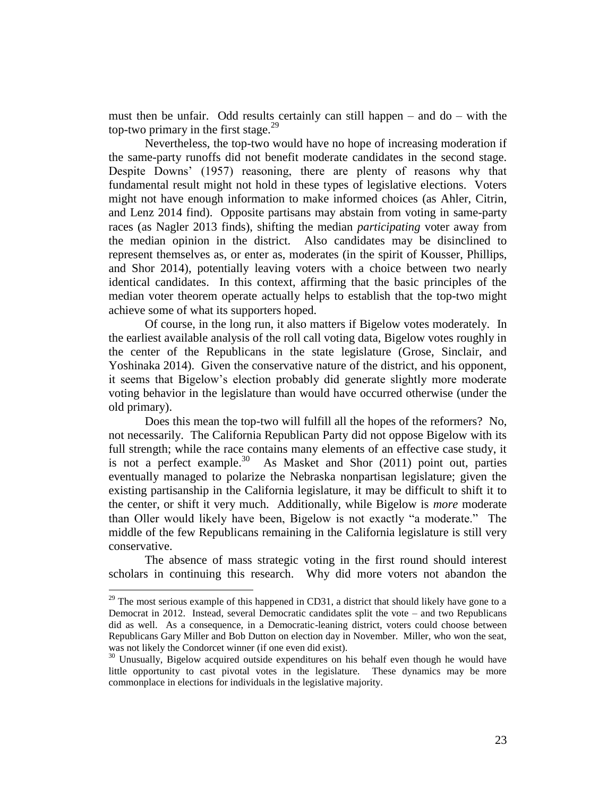must then be unfair. Odd results certainly can still happen – and do – with the top-two primary in the first stage. $29$ 

Nevertheless, the top-two would have no hope of increasing moderation if the same-party runoffs did not benefit moderate candidates in the second stage. Despite Downs' (1957) reasoning, there are plenty of reasons why that fundamental result might not hold in these types of legislative elections. Voters might not have enough information to make informed choices (as Ahler, Citrin, and Lenz 2014 find). Opposite partisans may abstain from voting in same-party races (as Nagler 2013 finds), shifting the median *participating* voter away from the median opinion in the district. Also candidates may be disinclined to represent themselves as, or enter as, moderates (in the spirit of Kousser, Phillips, and Shor 2014), potentially leaving voters with a choice between two nearly identical candidates. In this context, affirming that the basic principles of the median voter theorem operate actually helps to establish that the top-two might achieve some of what its supporters hoped.

Of course, in the long run, it also matters if Bigelow votes moderately. In the earliest available analysis of the roll call voting data, Bigelow votes roughly in the center of the Republicans in the state legislature (Grose, Sinclair, and Yoshinaka 2014). Given the conservative nature of the district, and his opponent, it seems that Bigelow's election probably did generate slightly more moderate voting behavior in the legislature than would have occurred otherwise (under the old primary).

Does this mean the top-two will fulfill all the hopes of the reformers? No, not necessarily. The California Republican Party did not oppose Bigelow with its full strength; while the race contains many elements of an effective case study, it is not a perfect example.<sup>30</sup> As Masket and Shor (2011) point out, parties eventually managed to polarize the Nebraska nonpartisan legislature; given the existing partisanship in the California legislature, it may be difficult to shift it to the center, or shift it very much. Additionally, while Bigelow is *more* moderate than Oller would likely have been, Bigelow is not exactly "a moderate." The middle of the few Republicans remaining in the California legislature is still very conservative.

The absence of mass strategic voting in the first round should interest scholars in continuing this research. Why did more voters not abandon the

 $29$  The most serious example of this happened in CD31, a district that should likely have gone to a Democrat in 2012. Instead, several Democratic candidates split the vote – and two Republicans did as well. As a consequence, in a Democratic-leaning district, voters could choose between Republicans Gary Miller and Bob Dutton on election day in November. Miller, who won the seat, was not likely the Condorcet winner (if one even did exist).

 $30$  Unusually, Bigelow acquired outside expenditures on his behalf even though he would have little opportunity to cast pivotal votes in the legislature. These dynamics may be more commonplace in elections for individuals in the legislative majority.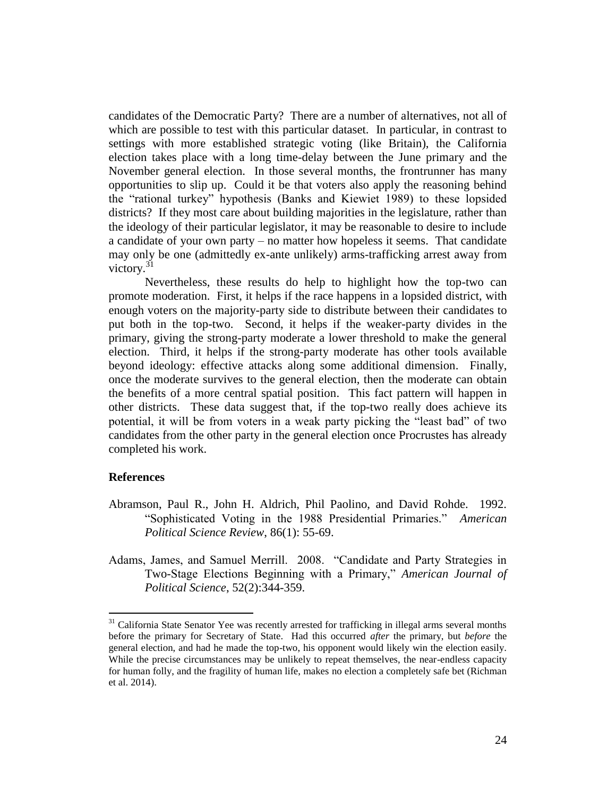candidates of the Democratic Party? There are a number of alternatives, not all of which are possible to test with this particular dataset. In particular, in contrast to settings with more established strategic voting (like Britain), the California election takes place with a long time-delay between the June primary and the November general election. In those several months, the frontrunner has many opportunities to slip up. Could it be that voters also apply the reasoning behind the "rational turkey" hypothesis (Banks and Kiewiet 1989) to these lopsided districts? If they most care about building majorities in the legislature, rather than the ideology of their particular legislator, it may be reasonable to desire to include a candidate of your own party – no matter how hopeless it seems. That candidate may only be one (admittedly ex-ante unlikely) arms-trafficking arrest away from victory. $31$ 

Nevertheless, these results do help to highlight how the top-two can promote moderation. First, it helps if the race happens in a lopsided district, with enough voters on the majority-party side to distribute between their candidates to put both in the top-two. Second, it helps if the weaker-party divides in the primary, giving the strong-party moderate a lower threshold to make the general election. Third, it helps if the strong-party moderate has other tools available beyond ideology: effective attacks along some additional dimension. Finally, once the moderate survives to the general election, then the moderate can obtain the benefits of a more central spatial position. This fact pattern will happen in other districts. These data suggest that, if the top-two really does achieve its potential, it will be from voters in a weak party picking the "least bad" of two candidates from the other party in the general election once Procrustes has already completed his work.

## **References**

- Abramson, Paul R., John H. Aldrich, Phil Paolino, and David Rohde. 1992. "Sophisticated Voting in the 1988 Presidential Primaries." *American Political Science Review*, 86(1): 55-69.
- Adams, James, and Samuel Merrill. 2008. "Candidate and Party Strategies in Two-Stage Elections Beginning with a Primary," *American Journal of Political Science*, 52(2):344-359.

 $31$  California State Senator Yee was recently arrested for trafficking in illegal arms several months before the primary for Secretary of State. Had this occurred *after* the primary, but *before* the general election, and had he made the top-two, his opponent would likely win the election easily. While the precise circumstances may be unlikely to repeat themselves, the near-endless capacity for human folly, and the fragility of human life, makes no election a completely safe bet (Richman et al. 2014).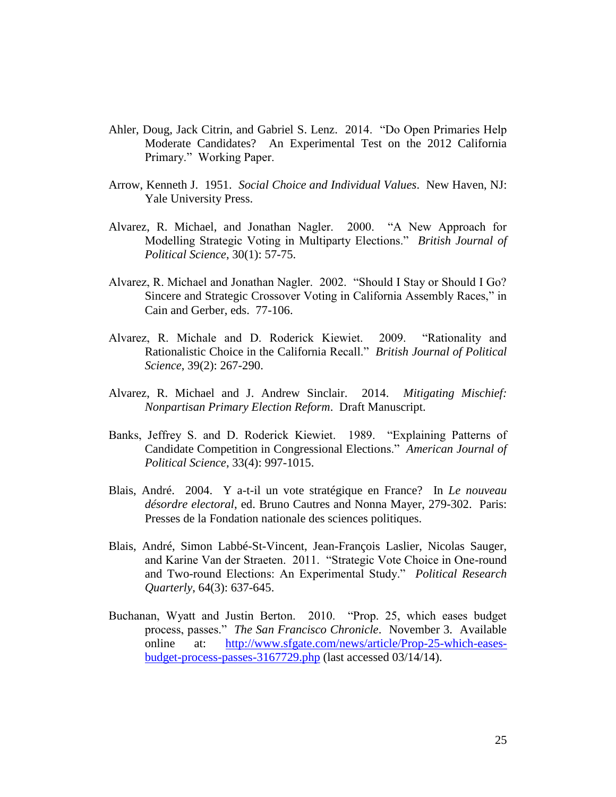- Ahler, Doug, Jack Citrin, and Gabriel S. Lenz. 2014. "Do Open Primaries Help Moderate Candidates? An Experimental Test on the 2012 California Primary." Working Paper.
- Arrow, Kenneth J. 1951. *Social Choice and Individual Values*. New Haven, NJ: Yale University Press.
- Alvarez, R. Michael, and Jonathan Nagler. 2000. "A New Approach for Modelling Strategic Voting in Multiparty Elections." *British Journal of Political Science*, 30(1): 57-75.
- Alvarez, R. Michael and Jonathan Nagler. 2002. "Should I Stay or Should I Go? Sincere and Strategic Crossover Voting in California Assembly Races," in Cain and Gerber, eds. 77-106.
- Alvarez, R. Michale and D. Roderick Kiewiet. 2009. "Rationality and Rationalistic Choice in the California Recall." *British Journal of Political Science*, 39(2): 267-290.
- Alvarez, R. Michael and J. Andrew Sinclair. 2014. *Mitigating Mischief: Nonpartisan Primary Election Reform*. Draft Manuscript.
- Banks, Jeffrey S. and D. Roderick Kiewiet. 1989. "Explaining Patterns of Candidate Competition in Congressional Elections." *American Journal of Political Science*, 33(4): 997-1015.
- Blais, André. 2004. Y a-t-il un vote stratégique en France? In *Le nouveau désordre electoral*, ed. Bruno Cautres and Nonna Mayer, 279-302. Paris: Presses de la Fondation nationale des sciences politiques.
- Blais, André, Simon Labbé-St-Vincent, Jean-François Laslier, Nicolas Sauger, and Karine Van der Straeten. 2011. "Strategic Vote Choice in One-round and Two-round Elections: An Experimental Study." *Political Research Quarterly*, 64(3): 637-645.
- Buchanan, Wyatt and Justin Berton. 2010. "Prop. 25, which eases budget process, passes." *The San Francisco Chronicle*. November 3. Available online at: [http://www.sfgate.com/news/article/Prop-25-which-eases](http://www.sfgate.com/news/article/Prop-25-which-eases-budget-process-passes-3167729.php)[budget-process-passes-3167729.php](http://www.sfgate.com/news/article/Prop-25-which-eases-budget-process-passes-3167729.php) (last accessed 03/14/14).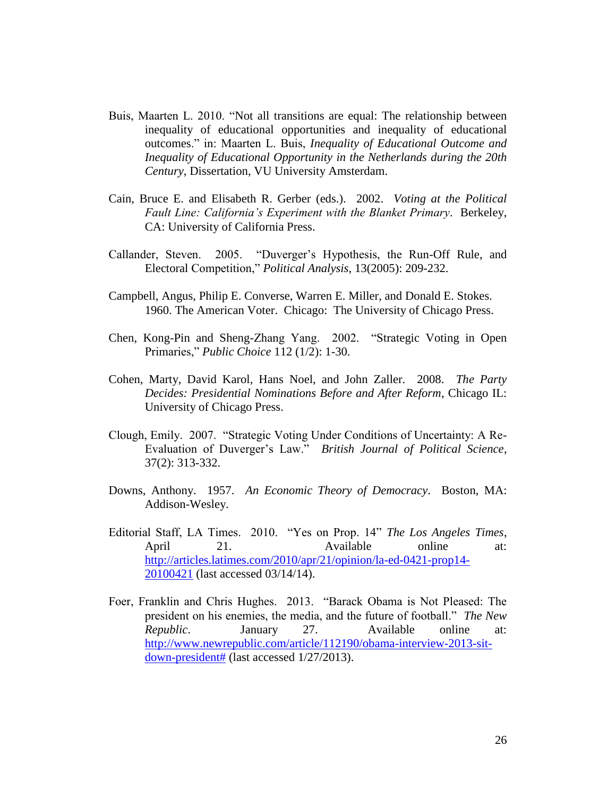- Buis, Maarten L. 2010. "Not all transitions are equal: The relationship between inequality of educational opportunities and inequality of educational outcomes." in: Maarten L. Buis, *Inequality of Educational Outcome and Inequality of Educational Opportunity in the Netherlands during the 20th Century*, Dissertation, VU University Amsterdam.
- Cain, Bruce E. and Elisabeth R. Gerber (eds.). 2002. *Voting at the Political Fault Line: California's Experiment with the Blanket Primary*. Berkeley, CA: University of California Press.
- Callander, Steven. 2005. "Duverger's Hypothesis, the Run-Off Rule, and Electoral Competition," *Political Analysis*, 13(2005): 209-232.
- Campbell, Angus, Philip E. Converse, Warren E. Miller, and Donald E. Stokes. 1960. The American Voter. Chicago: The University of Chicago Press.
- Chen, Kong-Pin and Sheng-Zhang Yang. 2002. "Strategic Voting in Open Primaries," *Public Choice* 112 (1/2): 1-30.
- Cohen, Marty, David Karol, Hans Noel, and John Zaller. 2008. *The Party Decides: Presidential Nominations Before and After Reform*, Chicago IL: University of Chicago Press.
- Clough, Emily. 2007. "Strategic Voting Under Conditions of Uncertainty: A Re-Evaluation of Duverger's Law." *British Journal of Political Science*, 37(2): 313-332.
- Downs, Anthony. 1957. *An Economic Theory of Democracy*. Boston, MA: Addison-Wesley.
- Editorial Staff, LA Times. 2010. "Yes on Prop. 14" *The Los Angeles Times*, April 21. Available online at: [http://articles.latimes.com/2010/apr/21/opinion/la-ed-0421-prop14-](http://articles.latimes.com/2010/apr/21/opinion/la-ed-0421-prop14-20100421) [20100421](http://articles.latimes.com/2010/apr/21/opinion/la-ed-0421-prop14-20100421) (last accessed 03/14/14).
- Foer, Franklin and Chris Hughes. 2013. "Barack Obama is Not Pleased: The president on his enemies, the media, and the future of football." *The New Republic*. January 27. Available online at: [http://www.newrepublic.com/article/112190/obama-interview-2013-sit](http://www.newrepublic.com/article/112190/obama-interview-2013-sit-down-president)[down-president#](http://www.newrepublic.com/article/112190/obama-interview-2013-sit-down-president) (last accessed 1/27/2013).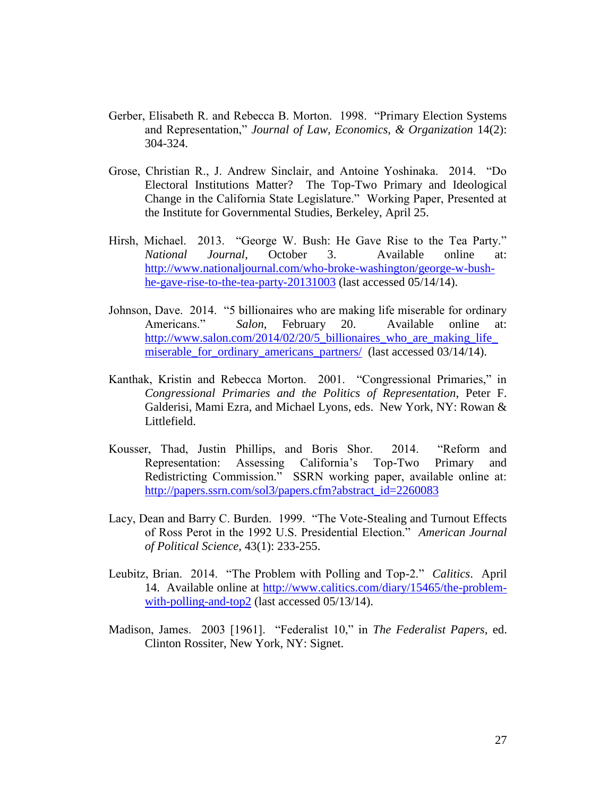- Gerber, Elisabeth R. and Rebecca B. Morton. 1998. "Primary Election Systems and Representation," *Journal of Law, Economics, & Organization* 14(2): 304-324.
- Grose, Christian R., J. Andrew Sinclair, and Antoine Yoshinaka. 2014. "Do Electoral Institutions Matter? The Top-Two Primary and Ideological Change in the California State Legislature." Working Paper, Presented at the Institute for Governmental Studies, Berkeley, April 25.
- Hirsh, Michael. 2013. "George W. Bush: He Gave Rise to the Tea Party." *National Journal*, October 3. Available online at: [http://www.nationaljournal.com/who-broke-washington/george-w-bush](http://www.nationaljournal.com/who-broke-washington/george-w-bush-he-gave-rise-to-the-tea-party-20131003)[he-gave-rise-to-the-tea-party-20131003](http://www.nationaljournal.com/who-broke-washington/george-w-bush-he-gave-rise-to-the-tea-party-20131003) (last accessed 05/14/14).
- Johnson, Dave. 2014. "5 billionaires who are making life miserable for ordinary Americans." *Salon*, February 20. Available online at: [http://www.salon.com/2014/02/20/5\\_billionaires\\_who\\_are\\_making\\_life\\_](http://www.salon.com/2014/02/20/5_billionaires_who_are_making_life_miserable_for_ordinary_americans_partners/) [miserable\\_for\\_ordinary\\_americans\\_partners/](http://www.salon.com/2014/02/20/5_billionaires_who_are_making_life_miserable_for_ordinary_americans_partners/) (last accessed 03/14/14).
- Kanthak, Kristin and Rebecca Morton. 2001. "Congressional Primaries," in *Congressional Primaries and the Politics of Representation*, Peter F. Galderisi, Mami Ezra, and Michael Lyons, eds. New York, NY: Rowan & Littlefield.
- Kousser, Thad, Justin Phillips, and Boris Shor. 2014. "Reform and Representation: Assessing California's Top-Two Primary and Redistricting Commission." SSRN working paper, available online at: [http://papers.ssrn.com/sol3/papers.cfm?abstract\\_id=2260083](http://papers.ssrn.com/sol3/papers.cfm?abstract_id=2260083)
- Lacy, Dean and Barry C. Burden. 1999. "The Vote-Stealing and Turnout Effects of Ross Perot in the 1992 U.S. Presidential Election." *American Journal of Political Science*, 43(1): 233-255.
- Leubitz, Brian. 2014. "The Problem with Polling and Top-2." *Calitics*. April 14. Available online at [http://www.calitics.com/diary/15465/the-problem](http://www.calitics.com/diary/15465/the-problem-with-polling-and-top2)[with-polling-and-top2](http://www.calitics.com/diary/15465/the-problem-with-polling-and-top2) (last accessed 05/13/14).
- Madison, James. 2003 [1961]. "Federalist 10," in *The Federalist Papers*, ed. Clinton Rossiter, New York, NY: Signet.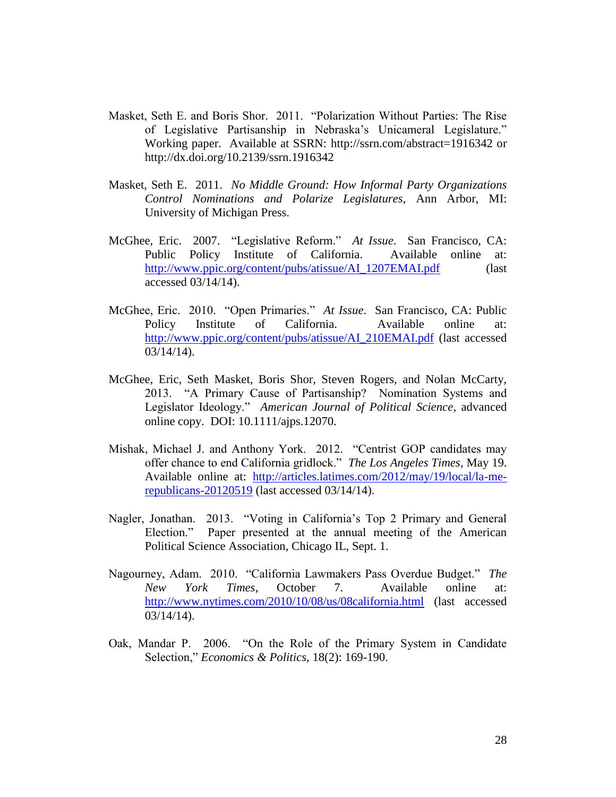- Masket, Seth E. and Boris Shor. 2011. "Polarization Without Parties: The Rise of Legislative Partisanship in Nebraska's Unicameral Legislature." Working paper. Available at SSRN: http://ssrn.com/abstract=1916342 or http://dx.doi.org/10.2139/ssrn.1916342
- Masket, Seth E. 2011. *No Middle Ground: How Informal Party Organizations Control Nominations and Polarize Legislatures*, Ann Arbor, MI: University of Michigan Press.
- McGhee, Eric. 2007. "Legislative Reform." *At Issue*. San Francisco, CA: Public Policy Institute of California. Available online at: [http://www.ppic.org/content/pubs/atissue/AI\\_1207EMAI.pdf](http://www.ppic.org/content/pubs/atissue/AI_1207EMAI.pdf) (last accessed 03/14/14).
- McGhee, Eric. 2010. "Open Primaries." *At Issue*. San Francisco, CA: Public Policy Institute of California. Available online at: [http://www.ppic.org/content/pubs/atissue/AI\\_210EMAI.pdf](http://www.ppic.org/content/pubs/atissue/AI_210EMAI.pdf) (last accessed 03/14/14).
- McGhee, Eric, Seth Masket, Boris Shor, Steven Rogers, and Nolan McCarty, 2013. "A Primary Cause of Partisanship? Nomination Systems and Legislator Ideology." *American Journal of Political Science*, advanced online copy. DOI: 10.1111/ajps.12070.
- Mishak, Michael J. and Anthony York. 2012. "Centrist GOP candidates may offer chance to end California gridlock." *The Los Angeles Times*, May 19. Available online at: [http://articles.latimes.com/2012/may/19/local/la-me](http://articles.latimes.com/2012/may/19/local/la-me-republicans-20120519)[republicans-20120519](http://articles.latimes.com/2012/may/19/local/la-me-republicans-20120519) (last accessed 03/14/14).
- Nagler, Jonathan. 2013. "Voting in California's Top 2 Primary and General Election." Paper presented at the annual meeting of the American Political Science Association, Chicago IL, Sept. 1.
- Nagourney, Adam. 2010. "California Lawmakers Pass Overdue Budget." *The New York Times*, October 7. Available online at: <http://www.nytimes.com/2010/10/08/us/08california.html> (last accessed 03/14/14).
- Oak, Mandar P. 2006. "On the Role of the Primary System in Candidate Selection," *Economics & Politics*, 18(2): 169-190.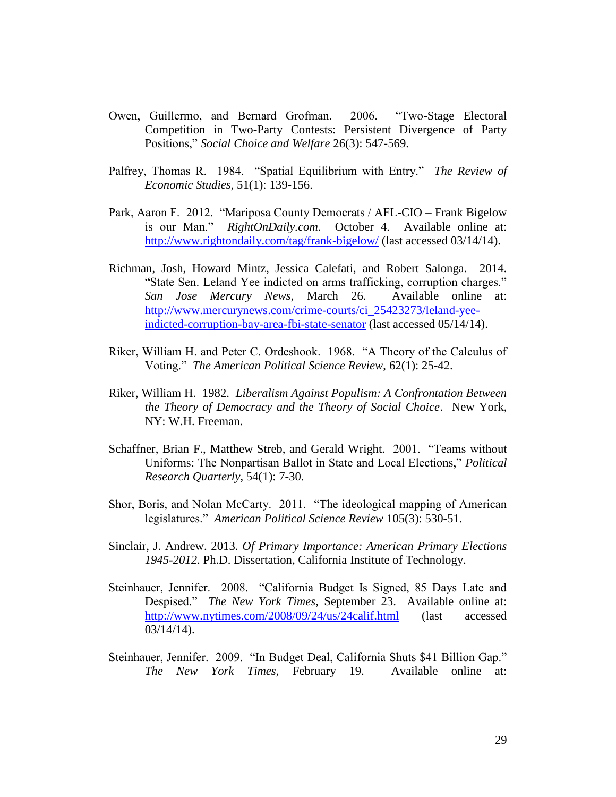- Owen, Guillermo, and Bernard Grofman. 2006. "Two-Stage Electoral Competition in Two-Party Contests: Persistent Divergence of Party Positions," *Social Choice and Welfare* 26(3): 547-569.
- Palfrey, Thomas R. 1984. "Spatial Equilibrium with Entry." *The Review of Economic Studies*, 51(1): 139-156.
- Park, Aaron F. 2012. "Mariposa County Democrats / AFL-CIO Frank Bigelow is our Man." *RightOnDaily.com*. October 4. Available online at: <http://www.rightondaily.com/tag/frank-bigelow/> (last accessed 03/14/14).
- Richman, Josh, Howard Mintz, Jessica Calefati, and Robert Salonga. 2014. "State Sen. Leland Yee indicted on arms trafficking, corruption charges." *San Jose Mercury News*, March 26. Available online at: [http://www.mercurynews.com/crime-courts/ci\\_25423273/leland-yee](http://www.mercurynews.com/crime-courts/ci_25423273/leland-yee-indicted-corruption-bay-area-fbi-state-senator)[indicted-corruption-bay-area-fbi-state-senator](http://www.mercurynews.com/crime-courts/ci_25423273/leland-yee-indicted-corruption-bay-area-fbi-state-senator) (last accessed 05/14/14).
- Riker, William H. and Peter C. Ordeshook. 1968. "A Theory of the Calculus of Voting." *The American Political Science Review*, 62(1): 25-42.
- Riker, William H. 1982. *Liberalism Against Populism: A Confrontation Between the Theory of Democracy and the Theory of Social Choice*. New York, NY: W.H. Freeman.
- Schaffner, Brian F., Matthew Streb, and Gerald Wright. 2001. "Teams without Uniforms: The Nonpartisan Ballot in State and Local Elections," *Political Research Quarterly*, 54(1): 7-30.
- Shor, Boris, and Nolan McCarty. 2011. "The ideological mapping of American legislatures." *American Political Science Review* 105(3): 530-51.
- Sinclair, J. Andrew. 2013. *Of Primary Importance: American Primary Elections 1945-2012*. Ph.D. Dissertation, California Institute of Technology.
- Steinhauer, Jennifer. 2008. "California Budget Is Signed, 85 Days Late and Despised." *The New York Times*, September 23. Available online at: <http://www.nytimes.com/2008/09/24/us/24calif.html> (last accessed 03/14/14).
- Steinhauer, Jennifer. 2009. "In Budget Deal, California Shuts \$41 Billion Gap." *The New York Times*, February 19. Available online at: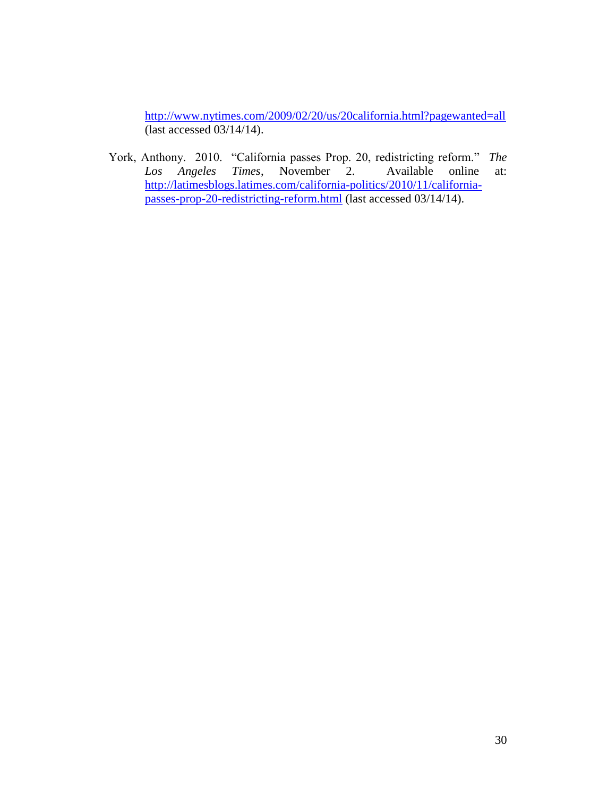<http://www.nytimes.com/2009/02/20/us/20california.html?pagewanted=all> (last accessed 03/14/14).

York, Anthony. 2010. "California passes Prop. 20, redistricting reform." *The Los Angeles Times*, November 2. Available online at: [http://latimesblogs.latimes.com/california-politics/2010/11/california](http://latimesblogs.latimes.com/california-politics/2010/11/california-passes-prop-20-redistricting-reform.html)[passes-prop-20-redistricting-reform.html](http://latimesblogs.latimes.com/california-politics/2010/11/california-passes-prop-20-redistricting-reform.html) (last accessed 03/14/14).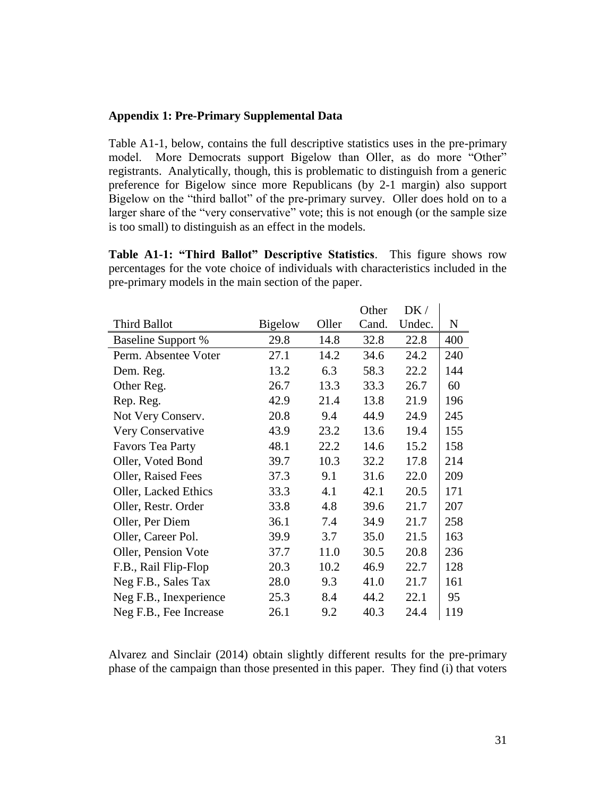### **Appendix 1: Pre-Primary Supplemental Data**

Table A1-1, below, contains the full descriptive statistics uses in the pre-primary model. More Democrats support Bigelow than Oller, as do more "Other" registrants. Analytically, though, this is problematic to distinguish from a generic preference for Bigelow since more Republicans (by 2-1 margin) also support Bigelow on the "third ballot" of the pre-primary survey. Oller does hold on to a larger share of the "very conservative" vote; this is not enough (or the sample size is too small) to distinguish as an effect in the models.

**Table A1-1: "Third Ballot" Descriptive Statistics**. This figure shows row percentages for the vote choice of individuals with characteristics included in the pre-primary models in the main section of the paper.

|                           |                |       | Other | DK/    |     |
|---------------------------|----------------|-------|-------|--------|-----|
| <b>Third Ballot</b>       | <b>Bigelow</b> | Oller | Cand. | Undec. | N   |
| <b>Baseline Support %</b> | 29.8           | 14.8  | 32.8  | 22.8   | 400 |
| Perm. Absentee Voter      | 27.1           | 14.2  | 34.6  | 24.2   | 240 |
| Dem. Reg.                 | 13.2           | 6.3   | 58.3  | 22.2   | 144 |
| Other Reg.                | 26.7           | 13.3  | 33.3  | 26.7   | 60  |
| Rep. Reg.                 | 42.9           | 21.4  | 13.8  | 21.9   | 196 |
| Not Very Conserv.         | 20.8           | 9.4   | 44.9  | 24.9   | 245 |
| Very Conservative         | 43.9           | 23.2  | 13.6  | 19.4   | 155 |
| <b>Favors Tea Party</b>   | 48.1           | 22.2  | 14.6  | 15.2   | 158 |
| Oller, Voted Bond         | 39.7           | 10.3  | 32.2  | 17.8   | 214 |
| Oller, Raised Fees        | 37.3           | 9.1   | 31.6  | 22.0   | 209 |
| Oller, Lacked Ethics      | 33.3           | 4.1   | 42.1  | 20.5   | 171 |
| Oller, Restr. Order       | 33.8           | 4.8   | 39.6  | 21.7   | 207 |
| Oller, Per Diem           | 36.1           | 7.4   | 34.9  | 21.7   | 258 |
| Oller, Career Pol.        | 39.9           | 3.7   | 35.0  | 21.5   | 163 |
| Oller, Pension Vote       | 37.7           | 11.0  | 30.5  | 20.8   | 236 |
| F.B., Rail Flip-Flop      | 20.3           | 10.2  | 46.9  | 22.7   | 128 |
| Neg F.B., Sales Tax       | 28.0           | 9.3   | 41.0  | 21.7   | 161 |
| Neg F.B., Inexperience    | 25.3           | 8.4   | 44.2  | 22.1   | 95  |
| Neg F.B., Fee Increase    | 26.1           | 9.2   | 40.3  | 24.4   | 119 |

Alvarez and Sinclair (2014) obtain slightly different results for the pre-primary phase of the campaign than those presented in this paper. They find (i) that voters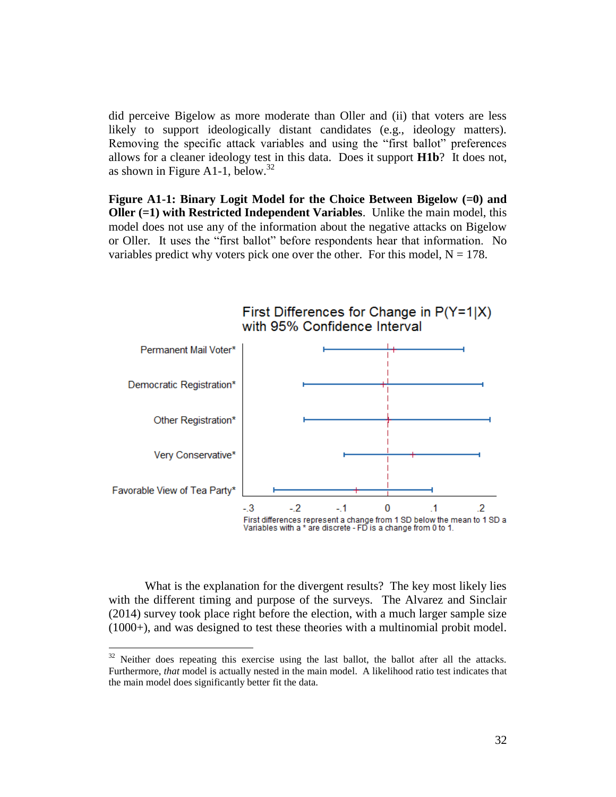did perceive Bigelow as more moderate than Oller and (ii) that voters are less likely to support ideologically distant candidates (e.g., ideology matters). Removing the specific attack variables and using the "first ballot" preferences allows for a cleaner ideology test in this data. Does it support **H1b**? It does not, as shown in Figure A1-1, below.<sup>32</sup>

**Figure A1-1: Binary Logit Model for the Choice Between Bigelow (=0) and Oller (=1) with Restricted Independent Variables**. Unlike the main model, this model does not use any of the information about the negative attacks on Bigelow or Oller. It uses the "first ballot" before respondents hear that information. No variables predict why voters pick one over the other. For this model,  $N = 178$ .



What is the explanation for the divergent results? The key most likely lies with the different timing and purpose of the surveys. The Alvarez and Sinclair (2014) survey took place right before the election, with a much larger sample size (1000+), and was designed to test these theories with a multinomial probit model.

 $32$  Neither does repeating this exercise using the last ballot, the ballot after all the attacks. Furthermore, *that* model is actually nested in the main model. A likelihood ratio test indicates that the main model does significantly better fit the data.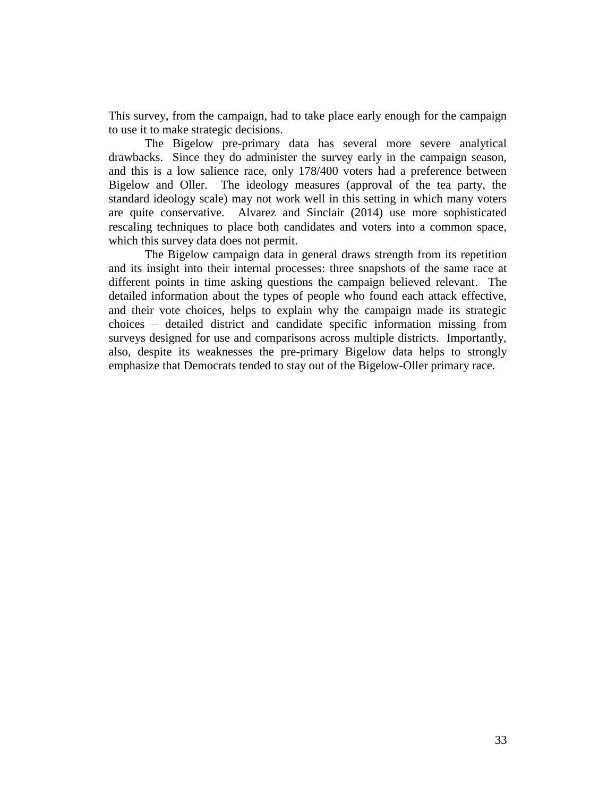This survey, from the campaign, had to take place early enough for the campaign to use it to make strategic decisions.

The Bigelow pre-primary data has several more severe analytical drawbacks. Since they do administer the survey early in the campaign season, and this is a low salience race, only 178/400 voters had a preference between Bigelow and Oller. The ideology measures (approval of the tea party, the standard ideology scale) may not work well in this setting in which many voters are quite conservative. Alvarez and Sinclair (2014) use more sophisticated rescaling techniques to place both candidates and voters into a common space, which this survey data does not permit.

The Bigelow campaign data in general draws strength from its repetition and its insight into their internal processes: three snapshots of the same race at different points in time asking questions the campaign believed relevant. The detailed information about the types of people who found each attack effective, and their vote choices, helps to explain why the campaign made its strategic choices – detailed district and candidate specific information missing from surveys designed for use and comparisons across multiple districts. Importantly, also, despite its weaknesses the pre-primary Bigelow data helps to strongly emphasize that Democrats tended to stay out of the Bigelow-Oller primary race.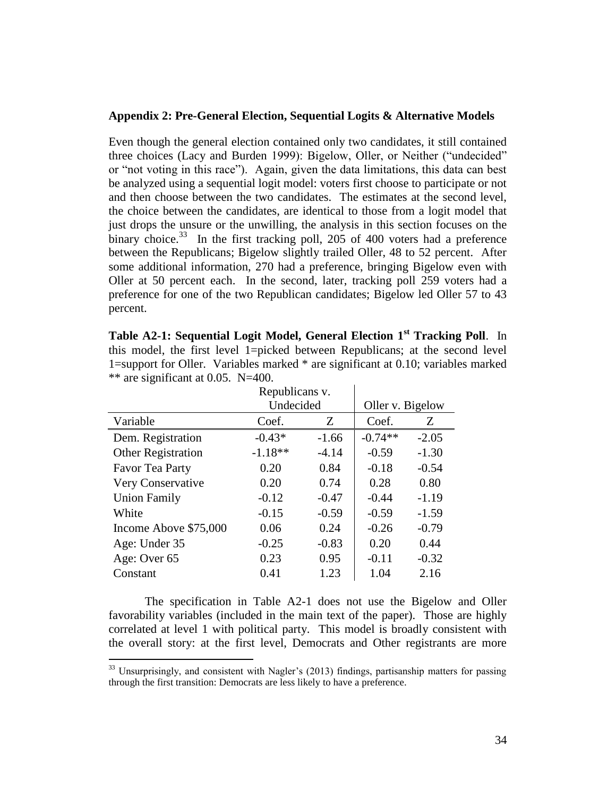### **Appendix 2: Pre-General Election, Sequential Logits & Alternative Models**

Even though the general election contained only two candidates, it still contained three choices (Lacy and Burden 1999): Bigelow, Oller, or Neither ("undecided" or "not voting in this race"). Again, given the data limitations, this data can best be analyzed using a sequential logit model: voters first choose to participate or not and then choose between the two candidates. The estimates at the second level, the choice between the candidates, are identical to those from a logit model that just drops the unsure or the unwilling, the analysis in this section focuses on the binary choice.<sup>33</sup> In the first tracking poll, 205 of 400 voters had a preference between the Republicans; Bigelow slightly trailed Oller, 48 to 52 percent. After some additional information, 270 had a preference, bringing Bigelow even with Oller at 50 percent each. In the second, later, tracking poll 259 voters had a preference for one of the two Republican candidates; Bigelow led Oller 57 to 43 percent.

| are significant at $0.03$ . $13-700$ . |                |         |                  |         |  |  |  |
|----------------------------------------|----------------|---------|------------------|---------|--|--|--|
|                                        | Republicans v. |         |                  |         |  |  |  |
|                                        | Undecided      |         | Oller v. Bigelow |         |  |  |  |
| Variable                               | Coef.          | Z       | Coef.            | Z       |  |  |  |
| Dem. Registration                      | $-0.43*$       | $-1.66$ | $-0.74**$        | $-2.05$ |  |  |  |
| Other Registration                     | $-1.18**$      | $-4.14$ | $-0.59$          | $-1.30$ |  |  |  |
| Favor Tea Party                        | 0.20           | 0.84    | $-0.18$          | $-0.54$ |  |  |  |
| Very Conservative                      | 0.20           | 0.74    | 0.28             | 0.80    |  |  |  |
| <b>Union Family</b>                    | $-0.12$        | $-0.47$ | $-0.44$          | $-1.19$ |  |  |  |
| White                                  | $-0.15$        | $-0.59$ | $-0.59$          | $-1.59$ |  |  |  |
| Income Above \$75,000                  | 0.06           | 0.24    | $-0.26$          | $-0.79$ |  |  |  |
| Age: Under 35                          | $-0.25$        | $-0.83$ | 0.20             | 0.44    |  |  |  |
| Age: Over 65                           | 0.23           | 0.95    | $-0.11$          | $-0.32$ |  |  |  |
| Constant                               | 0.41           | 1.23    | 1.04             | 2.16    |  |  |  |

**Table A2-1: Sequential Logit Model, General Election 1st Tracking Poll**. In this model, the first level 1=picked between Republicans; at the second level 1=support for Oller. Variables marked \* are significant at 0.10; variables marked  $**$  are significant at 0.05 N=400.

The specification in Table A2-1 does not use the Bigelow and Oller favorability variables (included in the main text of the paper). Those are highly correlated at level 1 with political party. This model is broadly consistent with the overall story: at the first level, Democrats and Other registrants are more

<sup>&</sup>lt;sup>33</sup> Unsurprisingly, and consistent with Nagler's (2013) findings, partisanship matters for passing through the first transition: Democrats are less likely to have a preference.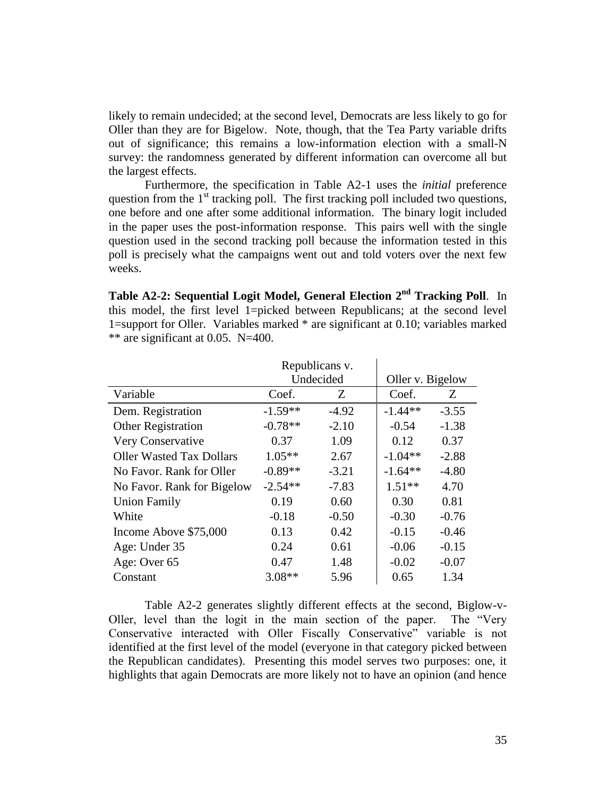likely to remain undecided; at the second level, Democrats are less likely to go for Oller than they are for Bigelow. Note, though, that the Tea Party variable drifts out of significance; this remains a low-information election with a small-N survey: the randomness generated by different information can overcome all but the largest effects.

Furthermore, the specification in Table A2-1 uses the *initial* preference question from the  $1<sup>st</sup>$  tracking poll. The first tracking poll included two questions, one before and one after some additional information. The binary logit included in the paper uses the post-information response. This pairs well with the single question used in the second tracking poll because the information tested in this poll is precisely what the campaigns went out and told voters over the next few weeks.

**Table A2-2: Sequential Logit Model, General Election 2 nd Tracking Poll**. In this model, the first level 1=picked between Republicans; at the second level 1=support for Oller. Variables marked \* are significant at 0.10; variables marked  $**$  are significant at 0.05. N=400.

|                                 |           | Republicans v. |                  |         |
|---------------------------------|-----------|----------------|------------------|---------|
|                                 |           | Undecided      | Oller v. Bigelow |         |
| Variable                        | Coef.     | Ζ              | Coef.            | Z       |
| Dem. Registration               | $-1.59**$ | $-4.92$        | $-1.44**$        | $-3.55$ |
| <b>Other Registration</b>       | $-0.78**$ | $-2.10$        | $-0.54$          | $-1.38$ |
| Very Conservative               | 0.37      | 1.09           | 0.12             | 0.37    |
| <b>Oller Wasted Tax Dollars</b> | $1.05**$  | 2.67           | $-1.04**$        | $-2.88$ |
| No Favor. Rank for Oller        | $-0.89**$ | $-3.21$        | $-1.64**$        | $-4.80$ |
| No Favor. Rank for Bigelow      | $-2.54**$ | $-7.83$        | $1.51**$         | 4.70    |
| <b>Union Family</b>             | 0.19      | 0.60           | 0.30             | 0.81    |
| White                           | $-0.18$   | $-0.50$        | $-0.30$          | $-0.76$ |
| Income Above \$75,000           | 0.13      | 0.42           | $-0.15$          | $-0.46$ |
| Age: Under 35                   | 0.24      | 0.61           | $-0.06$          | $-0.15$ |
| Age: Over 65                    | 0.47      | 1.48           | $-0.02$          | $-0.07$ |
| Constant                        | $3.08**$  | 5.96           | 0.65             | 1.34    |

Table A2-2 generates slightly different effects at the second, Biglow-v-Oller, level than the logit in the main section of the paper. The "Very Conservative interacted with Oller Fiscally Conservative" variable is not identified at the first level of the model (everyone in that category picked between the Republican candidates). Presenting this model serves two purposes: one, it highlights that again Democrats are more likely not to have an opinion (and hence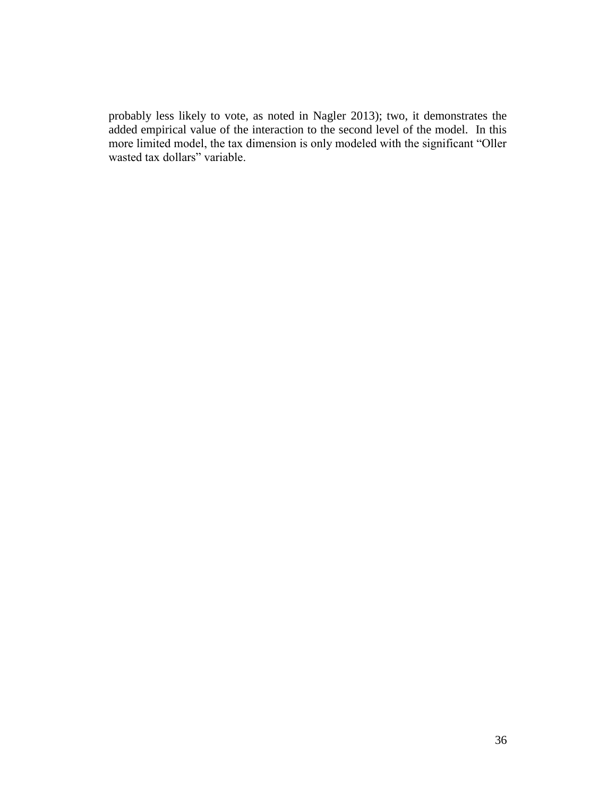probably less likely to vote, as noted in Nagler 2013); two, it demonstrates the added empirical value of the interaction to the second level of the model. In this more limited model, the tax dimension is only modeled with the significant "Oller wasted tax dollars" variable.